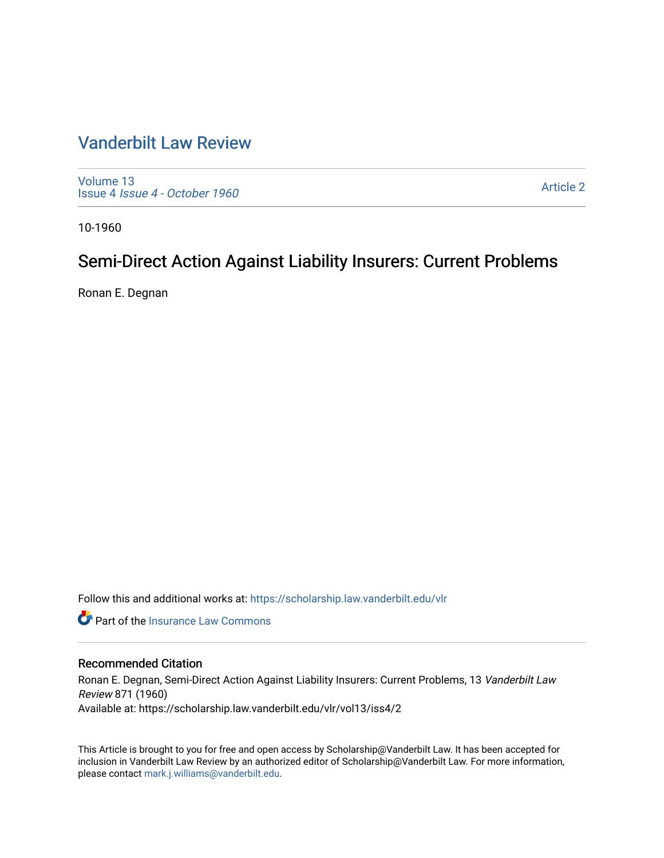# [Vanderbilt Law Review](https://scholarship.law.vanderbilt.edu/vlr)

[Volume 13](https://scholarship.law.vanderbilt.edu/vlr/vol13) Issue 4 [Issue 4 - October 1960](https://scholarship.law.vanderbilt.edu/vlr/vol13/iss4) 

[Article 2](https://scholarship.law.vanderbilt.edu/vlr/vol13/iss4/2) 

10-1960

# Semi-Direct Action Against Liability Insurers: Current Problems

Ronan E. Degnan

Follow this and additional works at: [https://scholarship.law.vanderbilt.edu/vlr](https://scholarship.law.vanderbilt.edu/vlr?utm_source=scholarship.law.vanderbilt.edu%2Fvlr%2Fvol13%2Fiss4%2F2&utm_medium=PDF&utm_campaign=PDFCoverPages)

**C** Part of the [Insurance Law Commons](http://network.bepress.com/hgg/discipline/607?utm_source=scholarship.law.vanderbilt.edu%2Fvlr%2Fvol13%2Fiss4%2F2&utm_medium=PDF&utm_campaign=PDFCoverPages)

## Recommended Citation

Ronan E. Degnan, Semi-Direct Action Against Liability Insurers: Current Problems, 13 Vanderbilt Law Review 871 (1960) Available at: https://scholarship.law.vanderbilt.edu/vlr/vol13/iss4/2

This Article is brought to you for free and open access by Scholarship@Vanderbilt Law. It has been accepted for inclusion in Vanderbilt Law Review by an authorized editor of Scholarship@Vanderbilt Law. For more information, please contact [mark.j.williams@vanderbilt.edu.](mailto:mark.j.williams@vanderbilt.edu)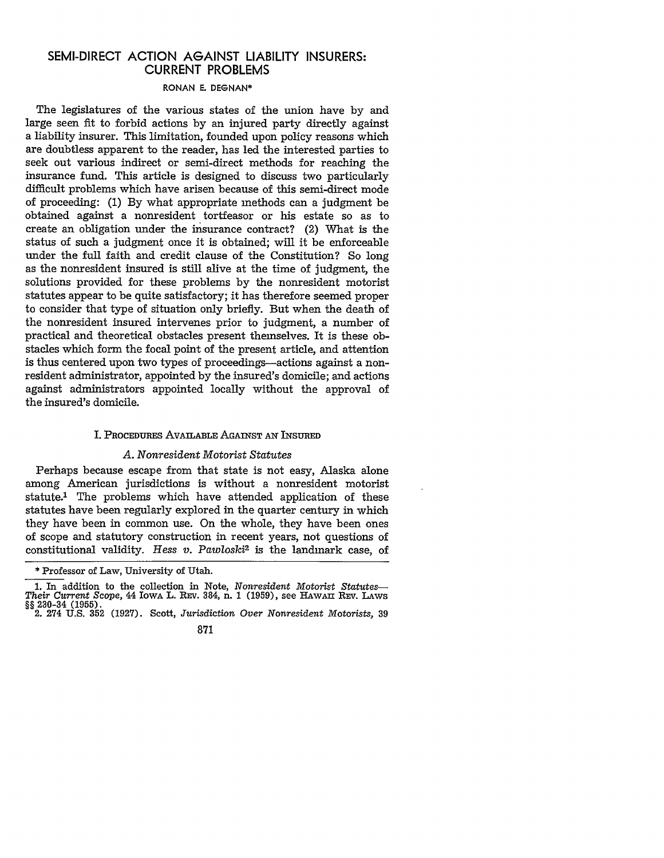# SEMI-DIRECT **ACTION AGAINST** LIABILITY **INSURERS:** CURRENT PROBLEMS

## RONAN E. DEGNAN\*

The legislatures of the various states of the union have by and large seen fit to forbid actions by an injured party directly against a liability insurer. This limitation, founded upon policy reasons which are doubtless apparent to the reader, has led the interested parties to seek out various indirect or semi-direct methods for reaching the insurance fund. This article is designed to discuss two particularly difficult problems which have arisen because of this semi-direct mode of proceeding: (1) By what appropriate methods can a judgment be obtained against a nonresident tortfeasor or his estate so as to create an obligation under the insurance contract? (2) What is the status of such a judgment once it is obtained; will it be enforceable under the full faith and credit clause of the Constitution? So long as the nonresident insured is still alive at the time of judgment, the solutions provided for these problems by the nonresident motorist statutes appear to be quite satisfactory; it has therefore seemed proper to consider that type of situation only briefly. But when the death of the nonresident insured intervenes prior to judgment, a number of practical and theoretical obstacles present themselves. It is these obstacles which form the focal point of the present article, and attention is thus centered upon two types of proceedings-actions against a nonresident administrator, appointed by the insured's domicile; and actions against administrators appointed locally without the approval of the insured's domicile.

#### I. PROCEDuRES AVAILABLE AGAINST **AN** INSURED

#### *A. Nonresident Motorist Statutes*

Perhaps because escape from that state is not easy, Alaska alone among American jurisdictions is without a nonresident motorist statute.1 The problems which have attended application of these statutes have been regularly explored in the quarter century in which they have been in common use. On the whole, they have been ones of scope and statutory construction in recent years, not questions of constitutional validity. *Hess v. Pawloski2* is the landmark case, of

<sup>\*</sup> Professor of Law, University of Utah.

**<sup>1.</sup>** In addition to the collection in Note, *Nonresident Motorist Statutes-Their Current Scope,* 44 IowA L. REv. 384, n. **1** (1959), see HAWAI REV. LAws §§ 230-34 (1955). 2. 274 U.S. 352 (1927). Scott, *Jurisdiction Over* Nonresident *Motorists,* **39**

<sup>871</sup>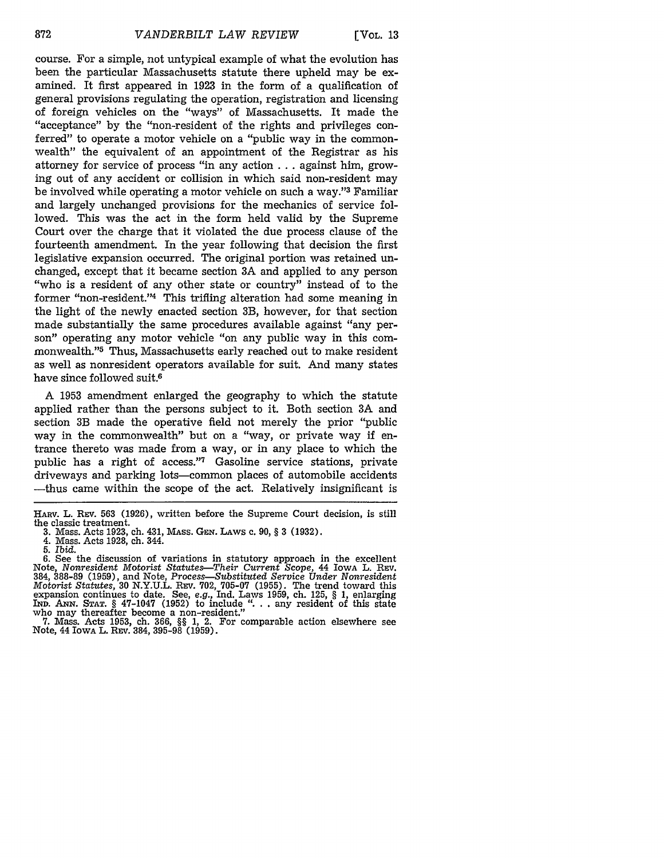course. For a simple, not untypical example of what the evolution has been the particular Massachusetts statute there upheld may be examined. It first appeared in 1923 in the form of a qualification of general provisions regulating the operation, registration and licensing of foreign vehicles on the "ways" of Massachusetts. It made the "acceptance" by the "non-resident of the rights and privileges conferred" to operate a motor vehicle on a "public way in the commonwealth" the equivalent of an appointment of the Registrar as his attorney for service of process "in any action **...** against him, growing out of any accident or collision in which said non-resident may be involved while operating a motor vehicle on such a way." 3 Familiar and largely unchanged provisions for the mechanics of service followed. This was the act in the form held valid by the Supreme Court over the charge that it violated the due process clause of the fourteenth amendment. In the year following that decision the first legislative expansion occurred. The original portion was retained unchanged, except that it became section 3A and applied to any person "who is a resident of any other state or country" instead of to the former "non-resident."<sup>4</sup> This trifling alteration had some meaning in the light of the newly enacted section 3B, however, for that section made substantially the same procedures available against "any person" operating any motor vehicle "on any public way in this commonwealth."5 Thus, Massachusetts early reached out to make resident as well as nonresident operators available for suit. And many states have since followed suit.6

A 1953 amendment enlarged the geography to which the statute applied rather than the persons subject to it. Both section 3A and section 3B made the operative field not merely the prior "public way in the commonwealth" but on a "way, or private way if entrance thereto was made from a way, or in any place to which the public has a right of access."7 Gasoline service stations, private driveways and parking lots-common places of automobile accidents -thus came within the scope of the act. Relatively insignificant is

HARV. L. REv. **563 (1926),** written before the Supreme Court decision, is still the classic treatment.<br>3. Mass. Acts 1923.

**<sup>3.</sup>** Mass. Acts 1923, ch. 431, MAss. GEN. LAws **c.** 90, § **3** (1932). 4. Mass. Acts 1928, ch. 344.

**<sup>5.</sup>** *Ibid.*

<sup>6.</sup> See the discussion of variations in statutory approach in the excellent Note, *Nonresident Motorist Statutes-Their Current* Scope, 44 IowA L. REv. 384, 388-89 (1959), and Note, *Process-Substituted Service Under Nonresident Motorist Statutes,* **30** N.Y.U.L. Rxv. 702, 705-07 (1955). The trend toward this expansion continues to date. See, *e.g.,* Ind. Laws 1959, ch. 125, § 1, enlarging **IND. ANN. STAT. §** 47-1047 (1952) to include "... any resident of this state who may thereafter become a non-resident."

<sup>7.</sup> Mass. Acts 1953, ch. 366, §§ 1, 2. For comparable action elsewhere see Note, 44 IowA L. **REV.** 384, 395-98 (1959).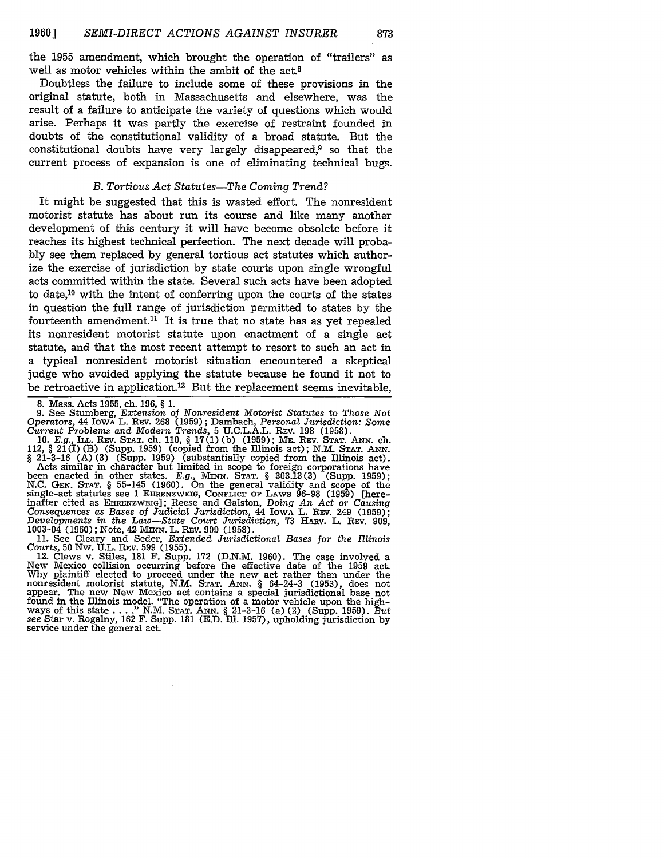the 1955 amendment, which brought the operation of "trailers" as well as motor vehicles within the ambit of the act.<sup>8</sup>

Doubtless the failure to include some of these provisions in the original statute, both in Massachusetts and elsewhere, was the result of a failure to anticipate the variety of questions which would arise. Perhaps it was partly the exercise of restraint founded in doubts of the constitutional validity of a broad statute. But the constitutional doubts have very largely disappeared,<sup>9</sup> so that the current process of expansion is one of eliminating technical bugs.

### *B. Tortious Act Statutes-The Coming Trend?*

It might be suggested that this is wasted effort. The nonresident motorist statute has about run its course and like many another development of this century it will have become obsolete before it reaches its highest technical perfection. The next decade will probably see them replaced by general tortious act statutes which authorize the exercise of jurisdiction by state courts upon single wrongful acts committed within the state. Several such acts have been adopted to date,10 with the intent of conferring upon the courts of the states in question the full range of jurisdiction permitted to states by the fourteenth amendment.<sup>11</sup> It is true that no state has as yet repealed its nonresident motorist statute upon enactment of a single act statute, and that the most recent attempt to resort to such an act in a typical nonresident motorist situation encountered a skeptical judge who avoided applying the statute because he found it not to be retroactive in application.<sup>12</sup> But the replacement seems inevitable,

8. Mass. Acts 1955, ch. 196, § 1. 9. See Stumberg, *Extension* of *Nonresident Motorist Statutes* to *Those Not* Operators, 44 Iowa L. REV. 268 (1959); Dambach, Personal Jurisdiction: Some Current Problems and Modern Trends, 5 U.C.L.A.L. REV. 198 (1958).<br>10. E.g., ILL. REV. Star. ch. 110, § 17(1) (b) (1959); ME. REV. Star. ANN. ch.

112,  $\S 2\tilde{I}(I)$  (B) (Supp. 1959) (copied from the Illinois act); N.M. Star. ANN.  $\S 21-3-16$  (A) (3) (Supp. 1959) (substantially copied from the Illinois act). Acts similar in character but limited in scope to foreign been enacted in other states. E.g., MINN. STAT. § 303.13(3) (Supp. 1959);<br>N.C. GEN. STAT. § 55-145 (1960). On the general validity and scope of the<br>single-act statutes see 1 EHRENZWEIG, CONFLICT OF LAWS 96-98 (1959) [hereinafter cited as EHRENZWEIG]; Reese and Galston, Doing An Act or Causing Consequences as Bases of Judicial Jurisdiction, 44 Iowa L. REV. 249 (1959); Developments in the Law—State Court Jurisdiction, 73 HARV. L. REV. 909, Developments in the Law—State Court Jurisdiction, 73 HARV. L. REV. 909, 1003-04 (1960); Note, 42 MINN. L. REV. 909 (1958).

11. See Cleary and Seder, *Extended Jurisdictional Bases for the Illinois*

*Courts,* 50 Nw. U.L. REv. 599 (1955). 12. Clews v. Stiles, 181 F. Supp. **172** (D.N.M. 1960). The case involved a New Mexico collision occurring before the effective date of the 1959 act. Why plaintiff elected to proceed under the new act rather than under the nonresident motorist statute, N.M. STAT. ANN. § 64-24-3 (1953), does not<br>appear. The new New Mexico act contains a special jurisdictional base not found in the Illinois model. "The operation of a motor vehicle upon the highways of this state ... **."** N.M. **STAT.** ANN. § 21-3-16 (a) (2) (Supp. 1959). *But see* Star v. Rogalny, 162 F. Supp. **181** (E.D. Ill. 1957), upholding jurisdiction by service under the general act.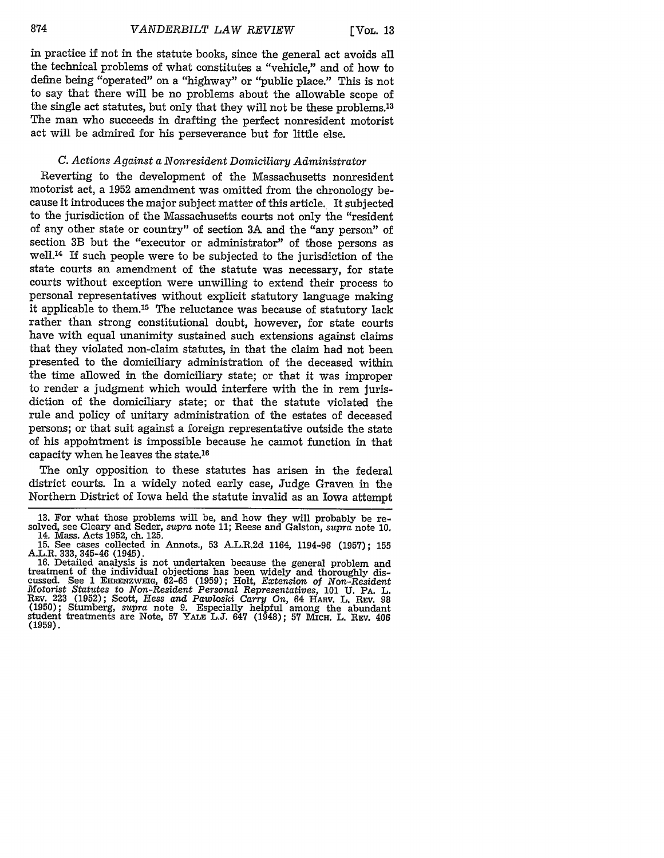in practice if not in the statute books, since the general act avoids all the technical problems of what constitutes a "vehicle," and of how to define being "operated" on a "highway" or "public place." This is not to say that there will be no problems about the allowable scope of the single act statutes, but only that they will not be these problems.13 The man who succeeds in drafting the perfect nonresident motorist act will be admired for his perseverance but for little else.

# *C. Actions Against a Nonresident Domiciliary Administrator*

Reverting to the development of the Massachusetts nonresident motorist act, a 1952 amendment was omitted from the chronology because it introduces the major subject matter of this article. It subjected to the jurisdiction of the Massachusetts courts not only the "resident of any other state or country" of section 3A and the "any person" of section 3B but the "executor or administrator" of those persons as well. 14 If such people were to be subjected to the jurisdiction of the state courts an amendment of the statute was necessary, for state courts without exception were unwilling to extend their process to personal representatives without explicit statutory language making it applicable to them.15 The reluctance was because of statutory lack rather than strong constitutional doubt, however, for state courts have with equal unanimity sustained such extensions against claims that they violated non-claim statutes, in that the claim had not been presented to the domiciliary administration of the deceased within the time allowed in the domiciliary state; or that it was improper to render a judgment which would interfere with the in rem jurisdiction of the domiciliary state; or that the statute violated the rule and policy of unitary administration of the estates of deceased persons; or that suit against a foreign representative outside the state of his appointment is impossible because he cannot function in that capacity when he leaves the state.16

The only opposition to these statutes has arisen in the federal district courts. In a widely noted early case, Judge Graven in the Northern District of Iowa held the statute invalid as an Iowa attempt

<sup>13.</sup> For what those problems will be, and how they will probably be resolved, see Cleary and Seder, *supra* note 11; Reese and Galston, *supra* note 10. 14. Mass. Acts 1952, ch. 125.

<sup>15.</sup> See cases collected in Annots., 53 A.L.R.2d 1164, 1194-96 (1957); 155 A.L.R. 333, 345-46 (1945).<br>16. Detailed analysis is not undertaken because the general problem and

treatment of the individual objections has been widely and thoroughly discussed. See 1 EHRENZWmG, 62-65 (1959); Holt, *Extension of Non-Resident Motorist Statutes* to *Non-Resident Personal Representatives,* 101 **U.** PA. L. REV. 223 (1952); Scott, Hess and Pawloski Carry On, 64 HARV. L. REV. 98<br>(1950); Stumberg, supra note 9. Especially helpful among the abundant<br>student treatments are Note, 57 YALE L.J. 647 (1948); 57 MICH, L. REV. 406 (1959).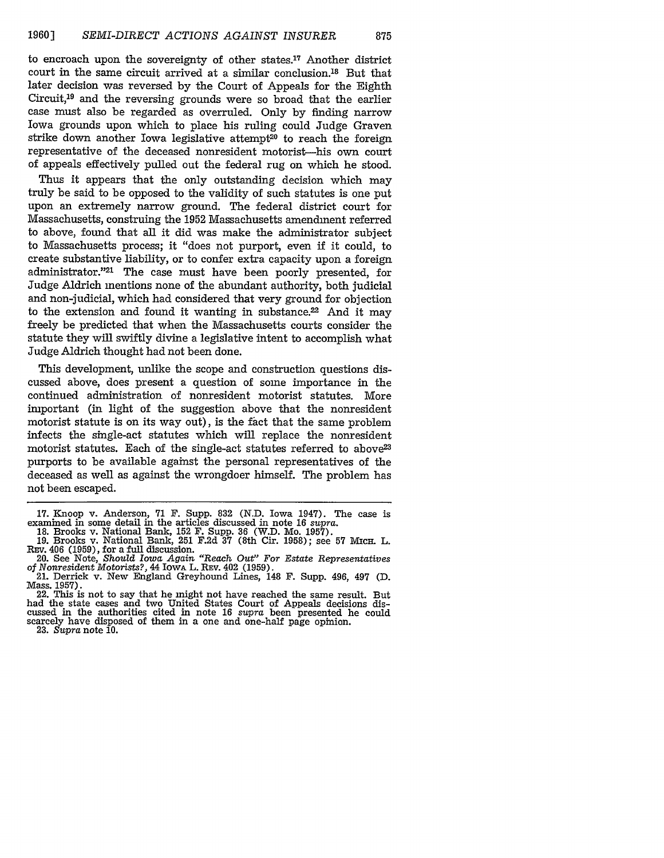to encroach upon the sovereignty of other states.'7 Another district court in the same circuit arrived at a similar conclusion. 18 But that later decision was reversed by the Court of Appeals for the Eighth Circuit, $19$  and the reversing grounds were so broad that the earlier case must also be regarded as overruled. Only by finding narrow Iowa grounds upon which to place his ruling could Judge Graven strike down another Iowa legislative attempt<sup>20</sup> to reach the foreign representative of the deceased nonresident motorist-his own court of appeals effectively pulled out the federal rug on which he stood.

Thus it appears that the only outstanding decision which may truly be said to be opposed to the validity of such statutes is one put upon an extremely narrow ground. The federal district court for Massachusetts, construing the 1952 Massachusetts amendment referred to above, found that all it did was make the administrator subject to Massachusetts process; it "does not purport, even if it could, to create substantive liability, or to confer extra capacity upon a foreign administrator."21 The case must have been poorly presented, for Judge Aldrich mentions none of the abundant authority, both judicial and non-judicial, which had considered that very ground for objection to the extension and found it wanting in substance. $22$  And it may freely be predicted that when the Massachusetts courts consider the statute they will swiftly divine a legislative intent to accomplish what Judge Aldrich thought had not been done.

This development, unlike the scope and construction questions discussed above, does present a question of some importance in the continued administration of nonresident motorist statutes. More important (in light of the suggestion above that the nonresident motorist statute is on its way out), is the fact that the same problem infects the single-act statutes which will replace the nonresident motorist statutes. Each of the single-act statutes referred to above<sup>23</sup> purports to be available against the personal representatives of the deceased as well as against the wrongdoer himself. The problem has not been escaped.

had the state cases and two United States Court of Appeals decisions discussed in the authorities cited in note 16 *supra* been presented he could scarcely have disposed of them in a one and one-half page opinion. 23. *Supra* note 10.

<sup>17.</sup> Knoop v. Anderson, 71 F. Supp. 832 (N.D. Iowa 1947). The case is examined in some detail in the articles discussed in note 16 *supra.* 18. Brooks v. National Bank, 152 F. Supp. **36** (W.D. Mo. 1957).

<sup>19.</sup> Brooks v. National Bank, 251 F.2d **37** (8th Cir. 1958); see 57 Micx. L.

REv. 406 (1959), for a full discussion. 20. See Note, *Should Iowa Again "Reach Out" For Estate Representatives of Nonresident Motorists?,* 44 IowA L. REv. 402 (1959).

<sup>21.</sup> Derrick v. New England Greyhound Lines, 148 F. Supp. 496, 497 **(D.** Mass. 1957).<br>22. This is not to say that he might not have reached the same result. But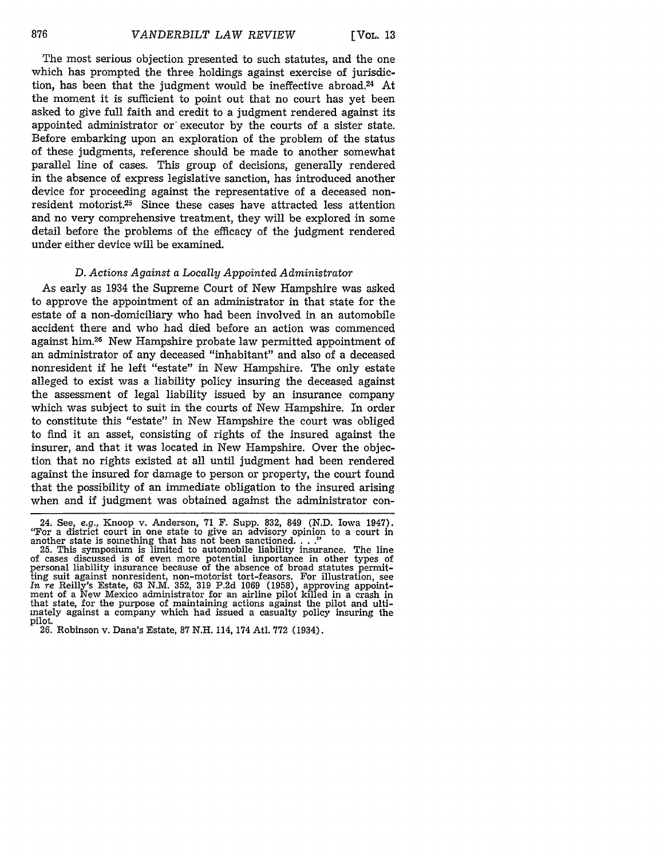The most serious objection presented to such statutes, and the one which has prompted the three holdings against exercise of jurisdiction, has been that the judgment would be ineffective abroad.<sup>24</sup> At the moment it is sufficient to point out that no court has yet been asked to give full faith and credit to a judgment rendered against its appointed administrator or' executor by the courts of a sister state. Before embarking upon an exploration of the problem of the status of these judgments, reference should be made to another somewhat parallel line of cases. This group of decisions, generally rendered in the absence of express legislative sanction, has introduced another device for proceeding against the representative of a deceased nonresident motorist.25 Since these cases have attracted less attention and no very comprehensive treatment, they will be explored in some detail before the problems of the efficacy of the judgment rendered under either device will be examined.

## *D. Actions Against a Locally Appointed Administrator*

As early as 1934 the Supreme Court of New Hampshire was asked to approve the appointment of an administrator in that state for the estate of a non-domiciliary who had been involved in an automobile accident there and who had died before an action was commenced against him.26 New Hampshire probate law permitted appointment of an administrator of any deceased "inhabitant" and also of a deceased nonresident if he left "estate" in New Hampshire. The only estate alleged to exist was a liability policy insuring the deceased against the assessment of legal liability issued by an insurance company which was subject to suit in the courts of New Hampshire. In order to constitute this "estate" in New Hampshire the court was obliged to find it an asset, consisting of rights of the insured against the insurer, and that it was located in New Hampshire. Over the objection that no rights existed at all until judgment had been rendered against the insured for damage to person or property, the court found that the possibility of an immediate obligation to the insured arising when and if judgment was obtained against the administrator con-

<sup>24.</sup> See, e.g., Knoop v. Anderson, 71 F. Supp. 832, 849 (N.D. Iowa 1947). "For a district court in one state to give an advisory opinion to a court in another state is something that has not been sanctioned. **...**"<br>25. This symposium is limited to automobile liability insurance. The line

of cases discussed is of even more potential importance in other types of or cases uncourse because of the absence of broad statutes permit-<br>ting suit against nonresident, non-motorist tort-feasors. For illustration, see<br>In re Reilly's Estate, 63 N.M. 352, 319 P.2d 1069 (1958), approving appoint ment of a New Mexico administrator for an airline pilot killed in a crash in that state, for the purpose of maintaining actions against the pilot and ultimately against a company which had issued a casualty policy insuring the pilot.

<sup>26.</sup> Robinson v. Dana's Estate, 87 N.H. 114, 174 Atl. 772 (1934).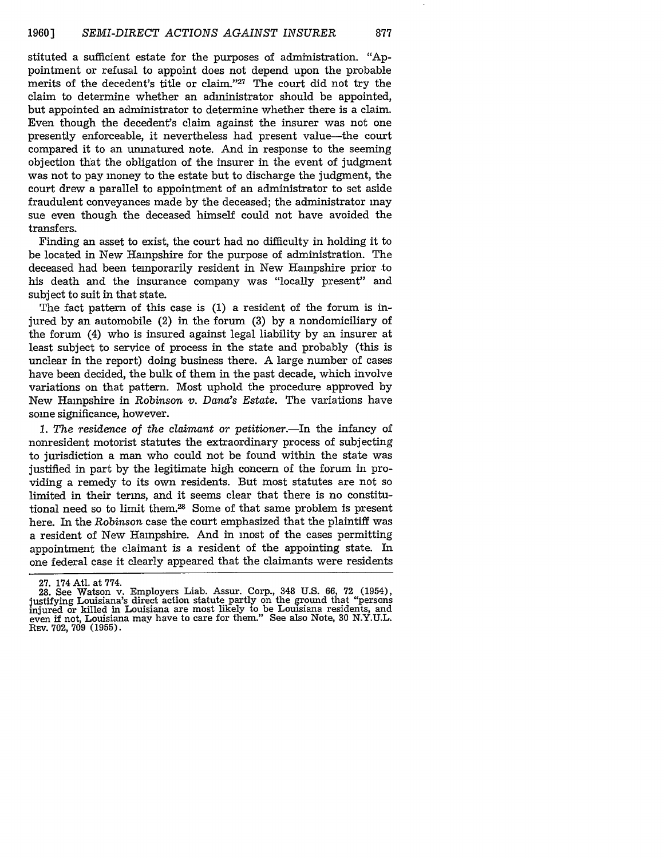stituted a sufficient estate for the purposes of administration. "Appointment or refusal to appoint does not depend upon the probable merits of the decedent's title or claim."27 The court did not try the claim to determine whether an administrator should be appointed, but appointed an administrator to determine whether there is a claim. Even though the decedent's claim against the insurer was not one presently enforceable, it nevertheless had present value-the court compared it to an unmatured note. And in response to the seeming objection that the obligation of the insurer in the event of judgment was not to pay money to the estate but to discharge the judgment, the court drew a parallel to appointment of an administrator to set aside fraudulent conveyances made by the deceased; the administrator may sue even though the deceased himself could not have avoided the transfers.

Finding an asset to exist, the court had no difficulty in holding it to be located in New Hampshire for the purpose of administration. The deceased had been temporarily resident in New Hampshire prior to his death and the insurance company was "locally present" and subject to suit in that state.

The fact pattern of this case is (1) a resident of the forum is injured by an automobile (2) in the forum (3) by a nondomiciliary of the forum (4) who is insured against legal liability by an insurer at least subject to service of process in the state and probably (this is unclear in the report) doing business there. A large number of cases have been decided, the bulk of them in the past decade, which involve variations on that pattern. Most uphold the procedure approved by New Hampshire in *Robinson v. Dana's Estate.* The variations have some significance, however.

1. The residence of the claimant or petitioner.—In the infancy of nonresident motorist statutes the extraordinary process of subjecting to jurisdiction a man who could not be found within the state was justified in part by the legitimate high concern of the forum in providing a remedy to its own residents. But most statutes are not so limited in their terms, and it seems clear that there is no constitutional need so to limit them.<sup>28</sup> Some of that same problem is present here. In the *Robinson* case the court emphasized that the plaintiff was a resident of New Hampshire. And in most of the cases permitting appointment the claimant is a resident of the appointing state. In one federal case it clearly appeared that the claimants were residents

**<sup>27.</sup>** 174 Atl. at 774.

<sup>28.</sup> See Watson v. Employers Liab. Assur. Corp., 348 U.S. 66, 72 (1954), justifying Louisiana's direct action statute partly on the ground that "persons injured or killed in Louisiana are most likely to be Louisiana residents, and even if not, Louisiana may have to care for them." See also Note, 30 N.Y.U.L. **REV.** 702, **709 (1955).**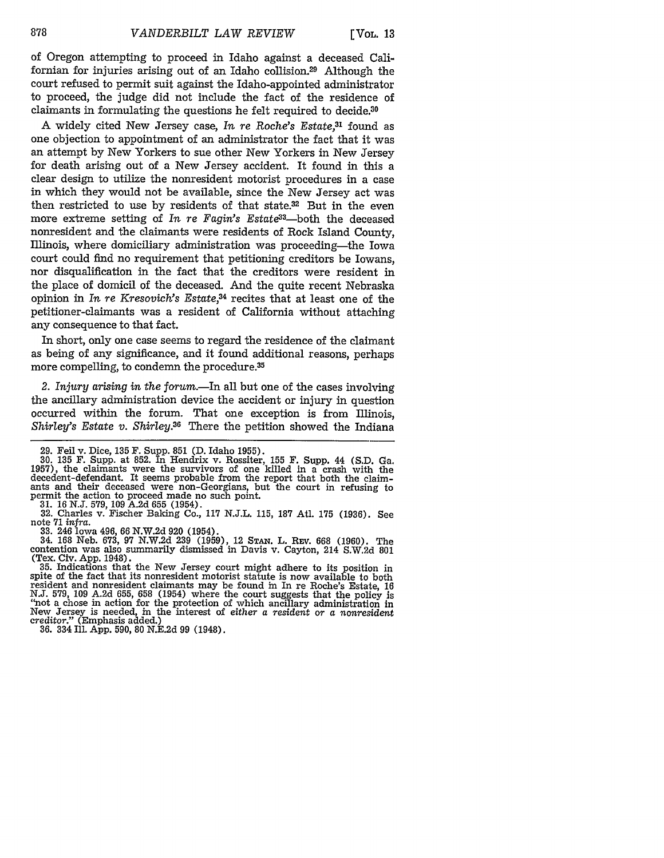of Oregon attempting to proceed in Idaho against a deceased Californian for injuries arising out of an Idaho collision.29 Although the court refused to permit suit against the Idaho-appointed administrator to proceed, the judge did not include the fact of the residence of claimants in formulating the questions he felt required to decide.30

A widely cited New Jersey case, *In re Roche's Estate,31* found as one objection to appointment of an administrator the fact that it was an attempt by New Yorkers to sue other New Yorkers in New Jersey for death arising out of a New Jersey accident. It found in this a clear design to utilize the nonresident motorist procedures in a case in which they would not be available, since the New Jersey act was then restricted to use by residents of that state.32 But in the even more extreme setting of *In re Fagin's Estate*<sup>33</sup>-both the deceased nonresident and the claimants were residents of Rock Island County, Illinois, where domiciliary administration was proceeding-the Iowa court could find no requirement that petitioning creditors be Iowans, nor disqualification in the fact that the creditors were resident in the place of domicil of the deceased. And the quite recent Nebraska opinion in *In re Kresovich's Estate,34* recites that at least one of the petitioner-claimants was a resident of California without attaching any consequence to that fact.

In short, only one case seems to regard the residence of the claimant as being of any significance, and it found additional reasons, perhaps more compelling, to condemn the procedure.<sup>35</sup>

2. Injury arising in the forum.—In all but one of the cases involving the ancillary administration device the accident or injury in question occurred within the forum. That one exception is from Illinois, *Shirley's Estate v. Shirley.36* There the petition showed the Indiana

29. Fell v. Dice, 135 F. Supp. 851 (D. Idaho 1955). **30.** 135 F. Supp. at 852. In Hendrix v. Rossiter, 155 F. Supp. 44 (S.D. Ga. 1957), the claimants were the survivors of one killed in a crash with the decedent-defendant. It seems probable from the report that both the claimants and their deceased were non-Georgians, but the court in refusing to

permit the action to proceed made no such point. 31. 16 N.J. 579, 109 A.2d 655 (1954). 32. Charles v. Fischer Baking Co., 117 N.J.L. 115, 187 Atl. 175 (1936). See note 71 *infra.*

33. 246 Iowa 496, 66 N.W.2d 920 (1954).<br>34. 168 Neb. 673, 97 N.W.2d 239 (1959), 12 Stan. L. Rev. 668 (1960). The contention was also summarily dismissed in Davis v. Cayton, 214 S.W.2d 801 (Tex. Civ. App. 1948). 35. Indications that the New Jersey court might adhere to its position in

spite of the fact that its nonresident motorist statute is now available to both resident and nonresident claimants may be found in In re Roche's Estate, 16 N.J. 579, 109 A.2d 655, 658 (1954) where the court suggests that the policy is "not a chose in action for the protection of which ancillary administration in New Jersey is needed, in the interest of either a *resident* or *a nonresident creditor."* (Emphasis added.)

36. 334 Ill. App. 590, 80 N.E.2d 99 (1948).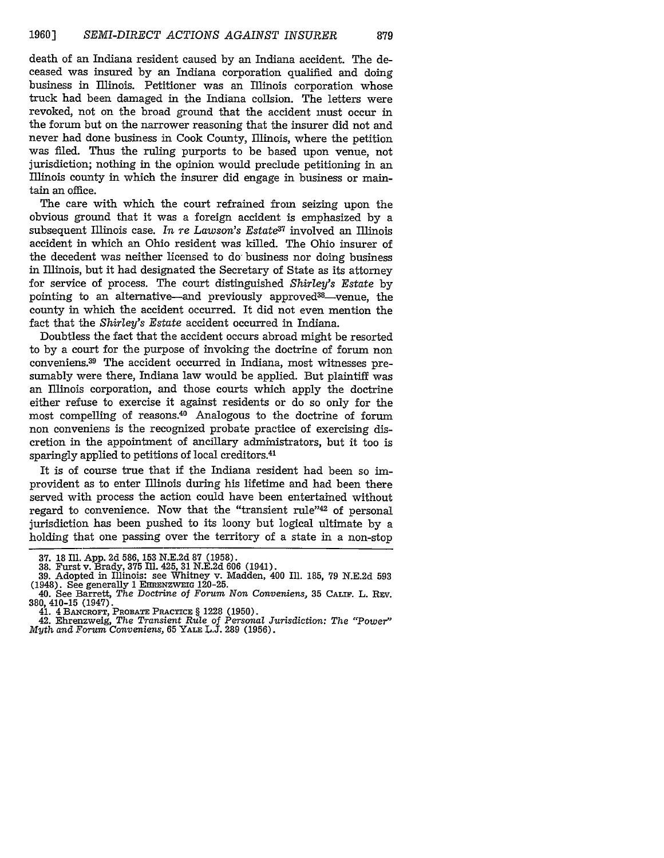death of an Indiana resident caused by an Indiana accident. The deceased was insured by an Indiana corporation qualified and doing business in Illinois. Petitioner was an Illinois corporation whose truck had been damaged in the Indiana collsion. The letters were revoked, not on the broad ground that the accident must occur in the forum but on the narrower reasoning that the insurer did not and never had done business in Cook County, Illinois, where the petition was filed. Thus the ruling purports to be based upon venue, not jurisdiction; nothing in the opinion would preclude petitioning in an Illinois county in which the insurer did engage in business or maintain an office.

The care with which the court refrained from seizing upon the obvious ground that it was a foreign accident is emphasized by a subsequent Illinois case. *In re Lawson's Estate37* involved an Illinois accident in which an Ohio resident was killed. The Ohio insurer of the decedent was neither licensed to do- business nor doing business in Illinois, but it had designated the Secretary of State as its attorney for service of process. The court distinguished *Shirley's* Estate by pointing to an alternative-and previously approved<sup>38</sup>-venue, the county in which the accident occurred. It did not even mention the fact that the *Shirley's Estate* accident occurred in Indiana.

Doubtless the fact that the accident occurs abroad might be resorted to by a court for the purpose of invoking the doctrine of forum non conveniens.39 The accident occurred in Indiana, most witnesses presumably were there, Indiana law would be applied. But plaintiff was an Illinois corporation, and those courts which apply the doctrine either refuse to exercise it against residents or do so only for the most compelling of reasons.40 Analogous to the doctrine of forum non conveniens is the recognized probate practice of exercising discretion in the appointment of ancillary administrators, but it too is sparingly applied to petitions of local creditors.41

It is of course true that if the Indiana resident had been so improvident as to enter Illinois during his lifetime and had been there served with process the action could have been entertained without regard to convenience. Now that the "transient rule"42 of personal jurisdiction has been pushed to its loony but logical ultimate by a holding that one passing over the territory of a state in a non-stop

42. Ehrenzweig, *The Transient Rule of Personal Jurisdiction: The "Power" Myth and Forum Conveniens,* 65 YALE L.J. 289 (1956).

<sup>37. 18</sup> Ill. App. 2d 586, 153 N.E.2d 87 (1958). **38.** Furst v. Brady, 375 Ill. 425, 31 N.E.2d 606 (1941).

<sup>39.</sup> Adopted in Illinois: see Whitney v. Madden, 400 Ill. 185, 79 N.E.2d 593  $(1948)$ . See generally 1 EHRENZWEIG 120-25.

<sup>40.</sup> See Barrett, The *Doctrine of Forum Non Conveniens,* 35 **CALIF.** L. REV. 380, 410-15 (1947).

<sup>41. 4</sup> BANCROFT, PROBATE PRACTICE § 1228 (1950).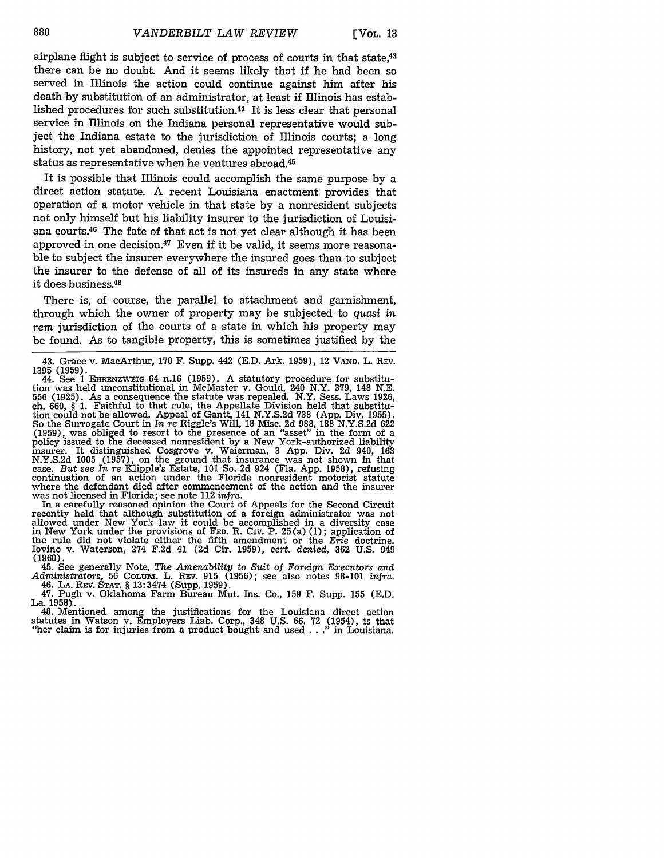airplane flight is subject to service of process of courts in that state,43 there can be no doubt. And it seems likely that if he had been so served in Illinois the action could continue against him after his death by substitution of an administrator, at least if Illinois has established procedures for such substitution.<sup>44</sup> It is less clear that personal service in Illinois on the Indiana personal representative would subject the Indiana estate to the jurisdiction of Illinois courts; a long history, not yet abandoned, denies the appointed representative any status as representative when he ventures abroad.45

It is possible that Illinois could accomplish the same purpose by a direct action statute. A recent Louisiana enactment provides that operation of a motor vehicle in that state by a nonresident subjects not only himself but his liability insurer to the jurisdiction of Louisiana courts.46 The fate of that act is not yet clear although it has been approved in one decision.<sup>47</sup> Even if it be valid, it seems more reasonable to subject the insurer everywhere the insured goes than to subject the insurer to the defense of all of its insureds in any state where it does business.<sup>48</sup>

There is, of course, the parallel to attachment and garnishment, through which the owner of property may be subjected to *quasi in rem* jurisdiction of the courts of a state in which his property may be found. As to tangible property, this is sometimes justified by the

In a carefully reasoned opinion the Court of Appeals for the Second Circuit recently held that although substitution of a foreign administrator was not allowed under New York law it could be accomplished in a diversity case in New York under the provisions of **FED.** R. Civ. P. 25(a) (1); application of the rule did not violate either the fifth amendment or the *Erie* doctrine. Iovino v. Waterson, 274 F.2d 41 (2d Cir. 1959), cert. denied, 362 U.S. 949 **(1960).**

45. See generally Note, The Amenability to Suit of Foreign Executors and Administrators, 56 COLUM. L. REV. 915 (1956); see also notes 98-101 infra. 46. LA. REV. STAT. § 13:3474 (Supp. 1959).

47. Pugh v. Oklahoma Farm Bureau Mut. Ins. Co., 159 F. Supp. **155** (E.D. La. 1958).

48. Mentioned among the justifications for the Louisiana direct action<br>statutes in Watson v. Employers Liab. Corp., 348 U.S. 66, 72 (1954), is that<br>"her claim is for injuries from a product bought and used . . ." in Louis

<sup>43.</sup> Grace v. MacArthur, **170** F. Supp. 442 (E.D. Ark. 1959), 12 VAND. L. REV. 1395 (1959).

<sup>44.</sup> See **1** EHRENZWEIG 64 n.16 **(1959).** A statutory procedure for substitution was held unconstitutional in McMaster v. Gould, 240 N.Y. 379, 148 N.E. 556 (1925). As a consequence the statute was repealed. N.Y. Sess. Laws 1926, ch. 660, § 1. Faithful to that rule, the Appellate Division held that substitudion could not be allowed. Appeal of Gantt, 141 N.Y.S.2d 738 (App. So the Surrogate Court in *In re* Riggle's Will, 18 Misc. 2d 988, 188 N.Y.S.2d 622  $(1959)$ , was obliged to resort to the presence of an "asset" in the form of a policy issued to the deceased nonresident by a New York-authorized liability insurer. It distinguished Cosgrove v. Weierman, 3 App. Div. 2d 94 N.Y.S.2d 1005 (1957), on the ground that insurance was not shown in that case. But see In re Klipple's Estate, 101 So. 2d 924 (Fla. App. 1958), refusing continuation of an action under the Florida nonresident motorist stat where the defendant died after commencement of the action and the insurer was not licensed in Florida; see note 112 *infra.*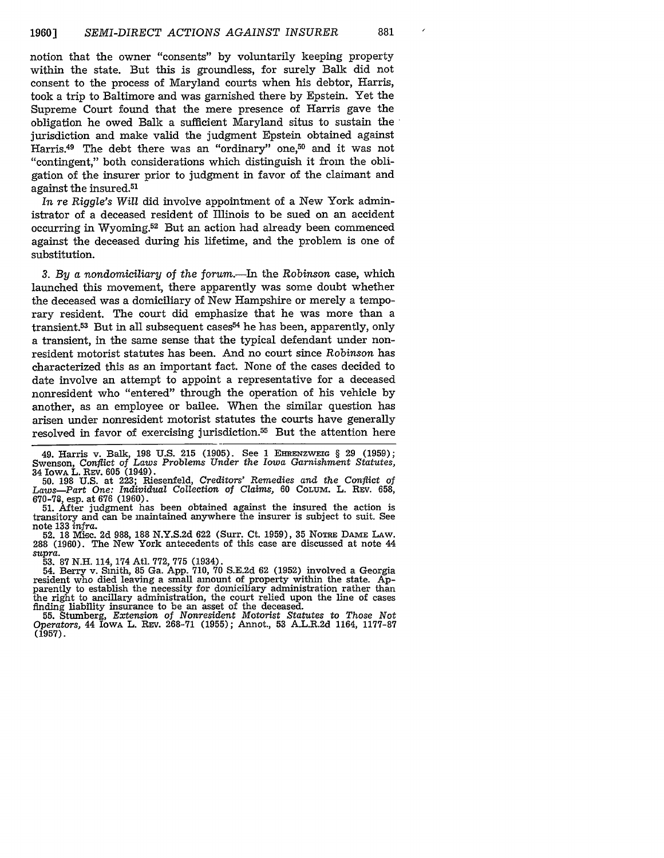notion that the owner "consents" by voluntarily keeping property within the state. But this is groundless, for surely Balk did not consent to the process of Maryland courts when his debtor, Harris, took a trip to Baltimore and was garnished there by Epstein. Yet the Supreme Court found that the mere presence of Harris gave the obligation he owed Balk a sufficient Maryland situs to sustain the jurisdiction and make valid the judgment Epstein obtained against Harris.<sup>49</sup> The debt there was an "ordinary" one,<sup>50</sup> and it was not "contingent," both considerations which distinguish it from the obligation of the insurer prior to judgment in favor of the claimant and against the insured.51

*In re Riggle's Will* did involve appointment of a New York administrator of a deceased resident of Illinois to be sued on an accident occurring in Wyoming.<sup>52</sup> But an action had already been commenced against the deceased during his lifetime, and the problem is one of substitution.

*3. By a nondomiciliary* of *the forum.-In* the *Robinson* case, which launched this movement, there apparently was some doubt whether the deceased was a domiciliary of New Hampshire or merely a temporary resident. The court did emphasize that he was more than a transient. $53$  But in all subsequent cases $54$  he has been, apparently, only a transient, in the same sense that the typical defendant under nonresident motorist statutes has been. And no court since *Robinson* has characterized this as an important fact. None of the cases decided to date involve an attempt to appoint a representative for a deceased nonresident who "entered" through the operation of his vehicle by another, as an employee or bailee. When the similar question has arisen under nonresident motorist statutes the courts have generally resolved in favor of exercising jurisdiction.55 But the attention here

49. Harris v. Balk, 198 U.S. 215 **(1905).** See 1 **EHRNZWEIG** § 29 (1959); Swenson, Conflict *of Laws Problems Under the Iowa Garnishment Statutes,* 34 IowA L. REV. **605** (1949).

50. 198 U.S. at 223; Riesenfeld, *Creditors' Remedies and the Conflict of Laws-Part One: Individual Collection of Claims,* 60 CoLuM. L. REv. 658, 670-78, esp. at 676 (1960).

51. After judgment has been obtained against the insured the action is transitory and can be maintained anywhere the insurer is subject to suit. See note 133 *infra.*

52. 18 Misc. 2d 988, 188 N.Y.S.2d 622 (Surr. Ct. 1959), 35 **NOTRE** DAME LAW. 288 (1960). The New York antecedents of this case are discussed at note 44 *supra.*

53. 87 N.H. 114, 174 Atl. 772, 775 (1934).<br>54. Berry v. Simith, 85 Ga. App. 710, 70 S.E.2d 62 (1952) involved a Georgia<br>resident who died leaving a small amount of property within the state. Ap-<br>parently to establish the n the right to ancillary administration, the court relied upon the line of cases finding liability insurance to be an asset of the deceased.

**55.** Stumberg, *Extension of Nonresident Motorist Statutes to Those Not Operators,* 44 IowA L. REv. 268-71 (1955); Annot., 53 A.L.R.2d 1164, 1177-87  $(1957)$ .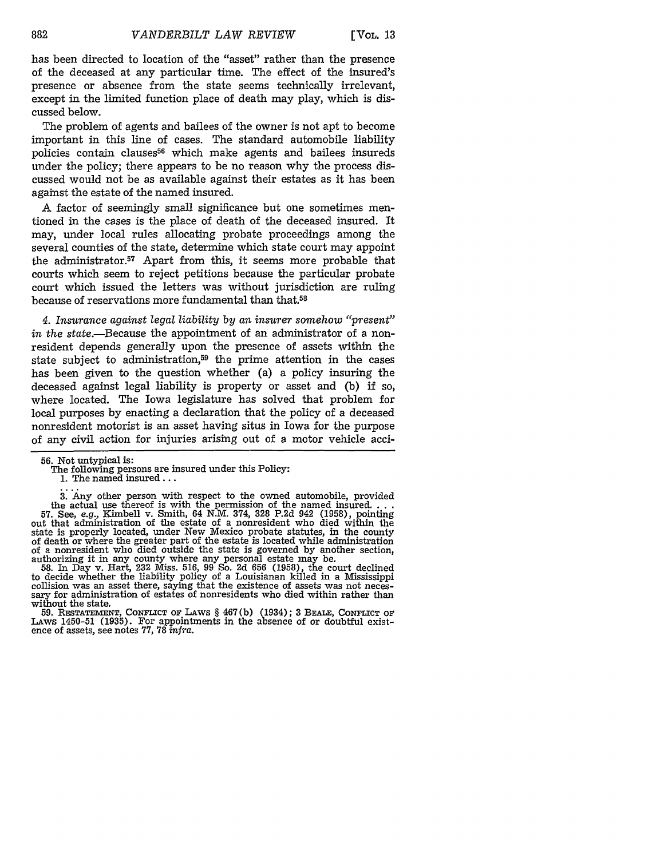has been directed to location of the "asset" rather than the presence of the deceased at any particular time. The effect of the insured's presence or absence from the state seems technically irrelevant, except in the limited function place of death may play, which is discussed below.

The problem of agents and bailees of the owner is not apt to become important in this line of cases. The standard automobile liability policies contain clauses<sup>56</sup> which make agents and bailees insureds under the policy; there appears to be no reason why the process discussed would not be as available against their estates as it has been against the estate of the named insured.

A factor of seemingly small significance but one sometimes mentioned in the cases is the place of death of the deceased insured. It may, under local rules allocating probate proceedings among the several counties of the state, determine which state court may appoint the administrator.<sup>57</sup> Apart from this, it seems more probable that courts which seem to reject petitions because the particular probate court which issued the letters was without jurisdiction are ruling because of reservations more fundamental than that.58

*4. Insurance against legal liability by an insurer somehow "present"* in the state.—Because the appointment of an administrator of a nonresident depends generally upon the presence of assets within the state subject to administration,<sup>59</sup> the prime attention in the cases has been given to the question whether (a) a policy insuring the deceased against legal liability is property or asset and (b) if so, where located. The Iowa legislature has solved that problem for local purposes by enacting a declaration that the policy of a deceased nonresident motorist is an asset having situs in Iowa for the purpose of any civil action for injuries arising out of a motor vehicle acci-

3. *Any* other person with respect to the owned automobile, provided the actual use thereof is with the permission of the named insured **...** 57. See, *e.g.,* Kimbell v. Smith, 64 N.M. 374, 328 P.2d 942 (1958), pointing out that administration of the estate of a nonresident who died within the state is properly located, under New Mexico probate statutes, in the county of death or where the greater part of the estate is located while administration of a nonresident who died outside the state is governed by another section, authorizing it in any county where any personal estate may be.

58. In Day v. Hart, 232 Miss. 516, 99 So. 2d 656 (1958), the court declined to decide whether the liability policy of a Louisianan killed in a Mississippi collision was an asset there, saying that the existence of assets was not necessary for administration of estates of nonresidents who died within rather than without the state.

**59.** RESTATEMENT, CONFLICT or LAws § **467(b)** (1934); **3 BEALE, CONFLICT OF** LAws 1450-51 **(1935).** For appointments in the absence of or doubtful exist- ence of assets, see notes **77, 78** *infra.*

<sup>56.</sup> Not untypical is:

The following persons are insured under this Policy: 1. The named insured...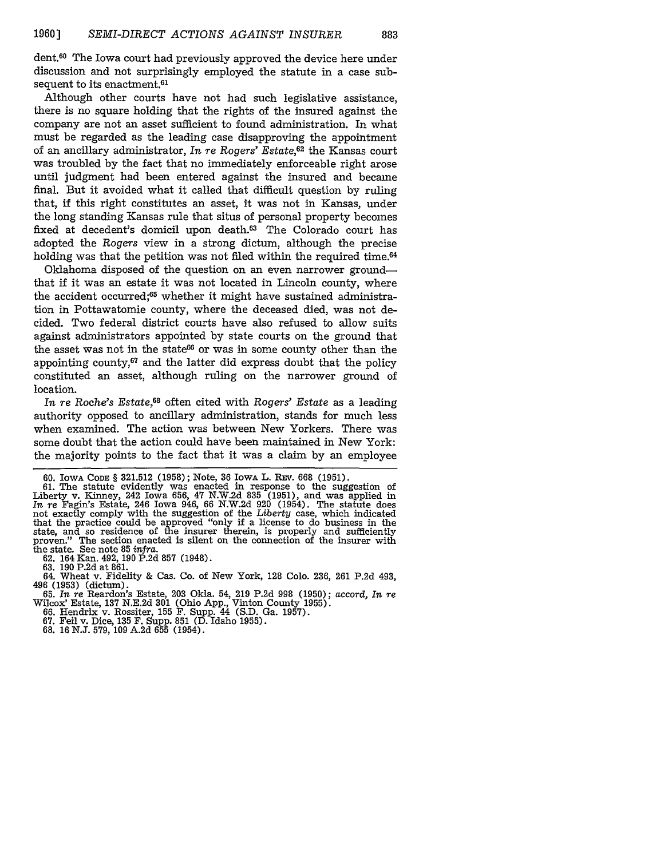dent.60 The Iowa court had previously approved the device here under discussion and not surprisingly employed the statute in a case subsequent to its enactment.<sup>61</sup>

Although other courts have not had such legislative assistance, there is no square holding that the rights of the insured against the company are not an asset sufficient to found administration. In what must be regarded as the leading case disapproving the appointment of an ancillary administrator, *In re* Rogers' Estate,62 the Kansas court was troubled by the fact that no immediately enforceable right arose until judgment had been entered against the insured and became final. But it avoided what it called that difficult question by ruling that, if this right constitutes an asset, it was not in Kansas, under the long standing Kansas rule that situs of personal property becomes fixed at decedent's domicil upon death.<sup>63</sup> The Colorado court has adopted the *Rogers* view in a strong dictum, although the precise holding was that the petition was not filed within the required time.<sup>64</sup>

Oklahoma disposed of the question on an even narrower groundthat if it was an estate it was not located in Lincoln county, where the accident occurred;<sup>65</sup> whether it might have sustained administration in Pottawatomie county, where the deceased died, was not decided. Two federal district courts have also refused to allow suits against administrators appointed by state courts on the ground that the asset was not in the state<sup>66</sup> or was in some county other than the appointing county, $67$  and the latter did express doubt that the policy constituted an asset, although ruling on the narrower ground of location.

*In re* Roche's *Estate,68* often cited with *Rogers' Estate* as a leading authority opposed to ancillary administration, stands for much less when examined. The action was between New Yorkers. There was some doubt that the action could have been maintained in New York: the majority points to the fact that it was a claim by an employee

61. The statute evidently was enacted in response to the suggestion of Liberty v. Kinney, 242 Iowa 656, 47 N.W.2d 835 (1951), and was applied in *In re* Fagin's Estate, 246 Iowa 946, 66 N.W.2d 920 (1954). The statute does not exactly comply with the suggestion of the *Liberty* case, which indicated that the practice could be approved "only if a license to do business in the state, and so residence of the insurer therein, is properly and sufficiently proven." The section enacted is silent on the connection of the insurer with proven." The section enacted is silent on the connection of the insurer with the state. See note 85 *infra*.<br>62. 164 Kan. 492, 190 P.2d 857 (1948).

62. 164 Kan. 492, 190 P.2d 857 (1948). **63. 190 P.2d** at **861.**

64. Wheat v. Fidelity & Cas. Co. of New York, 128 Colo. 236, **261** P.2d 493, 496 (1953) (dictum). 65. *In re* Reardon's Estate, 203 Okla. 54, 219 P.2d 998 (1950); accord, *In re*

Wilcox' Estate, **137** N.E.2d 301 (Ohio App., Vinton County 1955). 66. Hendrix v. Rossiter, 155 F. Supp. 44 (S.D. Ga. 1957). 67. Feil v. Dice, **135 F.** Supp. 851 (D. Idaho 1955).

68. 16 N.J. 579, 109 A.2d 655 (1954).

<sup>60.</sup> **IOWA CODE** § 321.512 (1958); Note, 36 IowA L. **REV.** 668 **(1951).**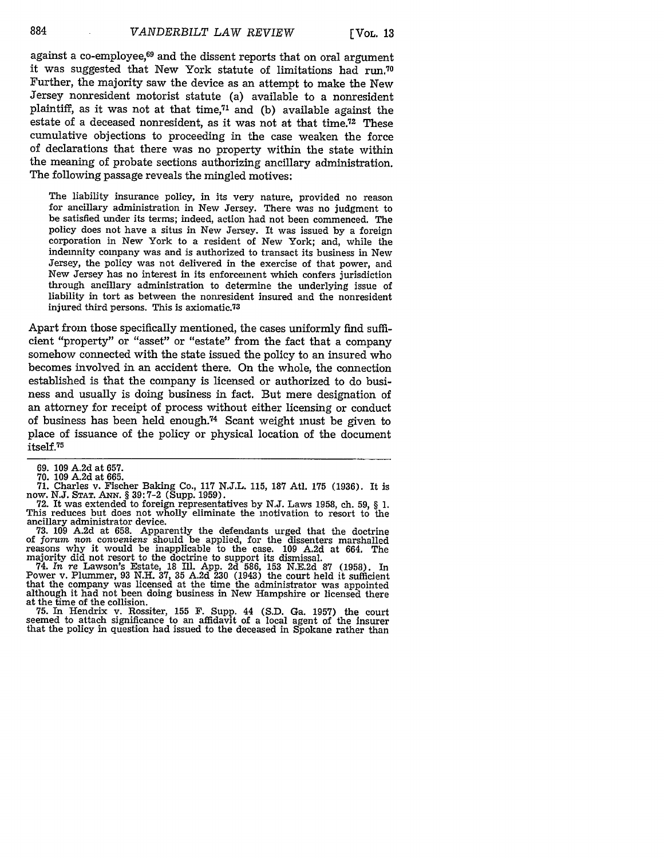against a co-employee,<sup>69</sup> and the dissent reports that on oral argument it was suggested that New York statute of limitations had run.70 Further, the majority saw the device as an attempt to make the New Jersey nonresident motorist statute (a) available to a nonresident plaintiff, as it was not at that time, $71$  and (b) available against the estate of a deceased nonresident, as it was not at that time.72 These cumulative objections to proceeding in the case weaken the force of declarations that there was no property within the state within the meaning of probate sections authorizing ancillary administration. The following passage reveals the mingled motives:

The liability insurance policy, in its very nature, provided no reason for ancillary administration in New Jersey. There was no judgment to be satisfied under its terms; indeed, action had not been commenced. The policy does not have a situs in New Jersey. It was issued by a foreign corporation in New York to a resident of New York; and, while the indemnity company was and is authorized to transact its business in New Jersey, the policy was not delivered in the exercise of that power, and New Jersey has no interest in its enforcement which confers jurisdiction through ancillary administration to determine the underlying issue of liability in tort as between the nonresident insured and the nonresident injured third persons. This is axiomatic.73

Apart from those specifically mentioned, the cases uniformly find sufficient "property" or "asset" or "estate" from the fact that a company somehow connected with the state issued the policy to an insured who becomes involved in an accident there. On the whole, the connection established is that the company is licensed or authorized to do business and usually is doing business in fact. But mere designation of an attorney for receipt of process without either licensing or conduct of business has been held enough.<sup>74</sup> Scant weight must be given to place of issuance of the policy or physical location of the document itself.75

69. 109 A.2d at 657.

70. 109 A.2d at 665.

71. Charles v. Fischer Baking Co., 117 N.J.L. 115, 187 Atl. 175 (1936). It is now. N.J. Stat. Ann. § 39:7-2 (Supp. 1959).

The reduces but does not wholly eliminate the motivation to resort to the This reduces but does not wholly eliminate the motivation to resort to the ancillary administrator device. 73. 109 A.2d at 658. Apparently the defendants urged that the doctrine

of *forum non conveniens* should be applied, for the dissenters marshalled reasons why it would be inapplicable to the case. 109 A.2d at 664. The majority did not resort to the doctrine to support its dismissal.

74. In *re* Lawson's Estate, 18 Ill. App. 2d 586, 153 N.E.2d 87 (1958). In Power v. Plummer, 93 N.H. 37, 35 A.2d 230 (1943) the court held it sufficient that the company was licensed at the time the administrator was appointed although it had not been doing business in New Hampshire or licensed there at the time of the collision.

75. In Hendrix v. Rossiter, 155 F. Supp. 44 (S.D. Ga. 1957) the court seemed to attach significance to an affidavit of a local agent of the insurer that the policy in question had issued to the deceased in Spokane rather than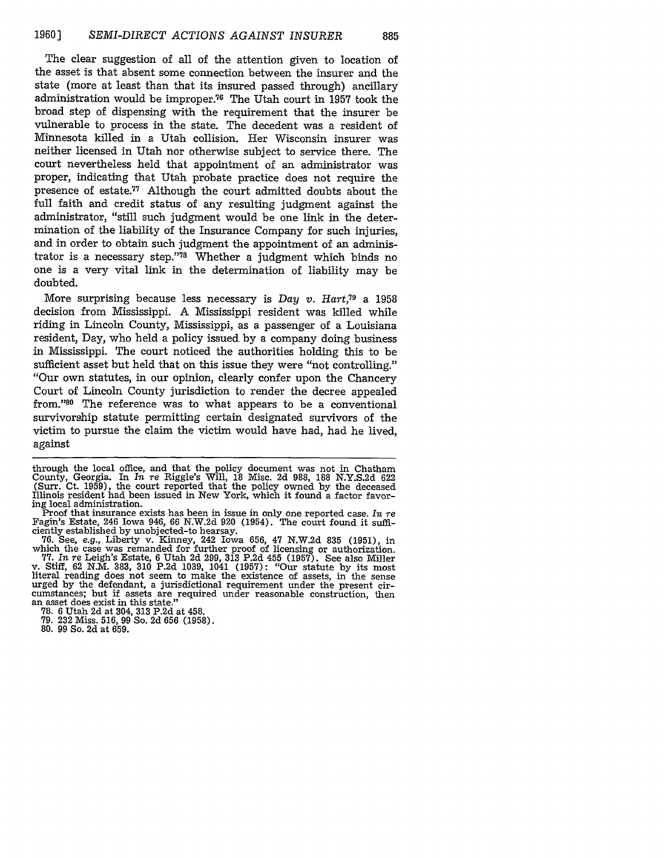The clear suggestion of all of the attention given to location of the asset is that absent some connection between the insurer and the state (more at least than that its insured passed through) ancillary administration would be improper.<sup>76</sup> The Utah court in 1957 took the broad step of dispensing with the requirement that the insurer be vulnerable to process in the state. The decedent was a resident of Minnesota killed in a Utah collision. Her Wisconsin insurer was neither licensed in Utah nor otherwise subject to service there. The court nevertheless held that appointment of an administrator was proper, indicating that Utah probate practice does not require the presence of estate. 7 Although the court admitted doubts about the full faith and credit status of any resulting judgment against the administrator, "still such judgment would be one link in the determination of the liability of the Insurance Company for such injuries, and in order to obtain such judgment the appointment of an administrator is a necessary step. '78 Whether a judgment which binds no one is a very vital link in the determination of liability may be doubted.

More surprising because less necessary is *Day v. Hart,79* a 1958 decision from Mississippi. A Mississippi resident was killed while riding in Lincoln County, Mississippi, as a passenger of a Louisiana resident, Day, who held a policy issued by a company doing business in Mississippi. The court noticed the authorities holding this to be sufficient asset but held that on this issue they were "not controlling." "Our own statutes, in our opinion, clearly confer upon the Chancery Court of Lincoln County jurisdiction to render the decree appealed from."<sup>80</sup> The reference was to what appears to be a conventional survivorship statute permitting certain designated survivors of the victim to pursue the claim the victim would have had, had he lived, against

through the local office, and that the policy document was not in Chatham County, Georgia. In *In re* Riggle's Will, 18 Misc. 2d 988, 188 N.Y.S.2d 622 (Surr. Ct. 1959), the court reported that the policy owned by the deceased Illinois resident had been issued in New York, which it found a factor favoring local administration.

Proof that insurance exists has been in issue in only one reported case. *In re* Fagin's Estate, 246 Iowa 946, 66 N.W.2d 920 (1954). The court found it sufficiently established by unobjected-to hearsay. ciently established by unobjected-to hearsay. 76. See, e.g., Liberty v. Kinney, 242 Iowa 656, 47 N.W.2d 835 (1951), in

which the case was remanded for further proof of licensing or authorization<br>77. In re Leigh's Estate, 6 Utah 2d 299, 313 P.2d 455 (1957). See also Miller<br>v. Stiff, 62 N.M. 383, 310 P.2d 1039, 1041 (1957): "Our statute by i literal reading does not seem to make the existence of assets, in the sense urged by the defendant, a jurisdictional requirement under the present circumstances; but if assets are required under reasonable construction, then an asset does exist in this state."

**78.** 6 Utah 2d at 304, 313 P.2d at 458.

**79.** 232 Miss. 516, 99 So. 2d 656 (1958).

**80. 99** So. **2d** at **659.**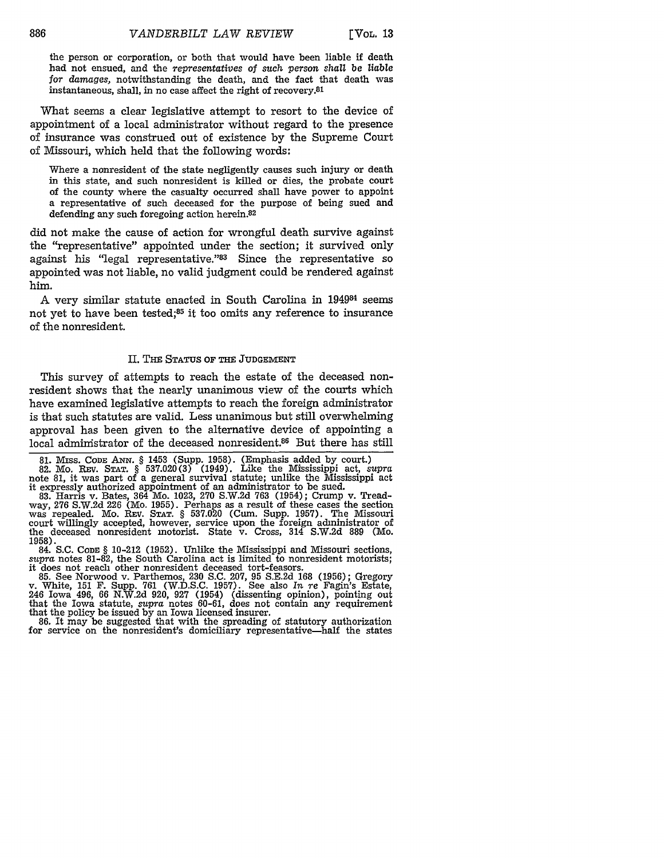**[EVOL. 13**

the person or corporation, or both that would have been liable if death had not ensued, and the *representatives* of *such person shall be liable for damages,* notwithstanding the death, and the fact that death was instantaneous, shall, in no case affect the right of recovery. 81

What seems a clear legislative attempt to resort to the device of appointment of a local administrator without regard to the presence of insurance was construed out of existence by the Supreme Court of Missouri, which held that the following words:

Where a nonresident of the state negligently causes such injury or death in this state, and such nonresident is killed or dies, the probate court of the county where the casualty occurred shall have power to appoint a representative of such deceased for the purpose of being sued and defending any such foregoing action herein.82

did not make the cause of action for wrongful death survive against the "representative" appointed under the section; it survived only against his "legal representative."<sup>83</sup> Since the representative so appointed was not liable, no valid judgment could be rendered against him.

A very similar statute enacted in South Carolina in 194984 seems not yet to have been tested;<sup>85</sup> it too omits any reference to insurance of the nonresident.

#### **II.** THE STATUS OF THE **JUDGEMENT**

This survey of attempts to reach the estate of the deceased nonresident shows that the nearly unanimous view of the courts which have examined legislative attempts to reach the foreign administrator is that such statutes are valid. Less unanimous but still overwhelming approval has been given to the alternative device of appointing a local admimistrator of the deceased nonresident.<sup>86</sup> But there has still

81. Miss. Code Ann. § 1453 (Supp. 1958). (Emphasis added by court.)<br>82. Mo. Rev. Stat. § 537.020(3) (1949). Like the Mississippi act, *supra*<br>note 81, it was part of a general survival statute; unlike the Mississippi act it expressly authorized appointment of an administrator to be sued.

83. Harris v. Bates, 364 Mo. 1023, **270** S.W.2d **763** (1954); Crump v. Treadway, **276** S.W.2d 226 (Mo. 1955). Perhaps as a result of these cases the section was repealed. Mo. REv. STAT. § 537.020 (Cum. Supp. 1957). The Missouri court willingly accepted, however, service upon the foreign administrator of the deceased nonresident motorist. State v. Cross, 314 S.W.2d 889 (Mo. 1958).

84. **S.C. CODE** § 10-212 **(1952).** Unlike the Mississippi and Missouri sections, *supra* notes 81-82, the South Carolina act is limited to nonresident motorists; it does not reach other nonresident deceased tort-feasors.

85. See Norwood v. Parthemos, 230 S.C. 207, 95 S.E.2d 168 (1956); Gregory v. White, 151 F. Supp. **761** (W.D.S.C. 1957). See also *In re* Fagin's Estate, 246 Iowa 496, 66 N.W.2d 920, 927 (1954) (dissenting opinion), pointing out that the Iowa statute, *supra* notes 60-61, does not contain any requirement that the policy be issued by an Iowa licensed insurer. that the policy be issued by an Iowa licensed insurer.<br>86. It may be suggested that with the spreading of statutory authorization

for service on the nonresident's domiciliary representative—half the states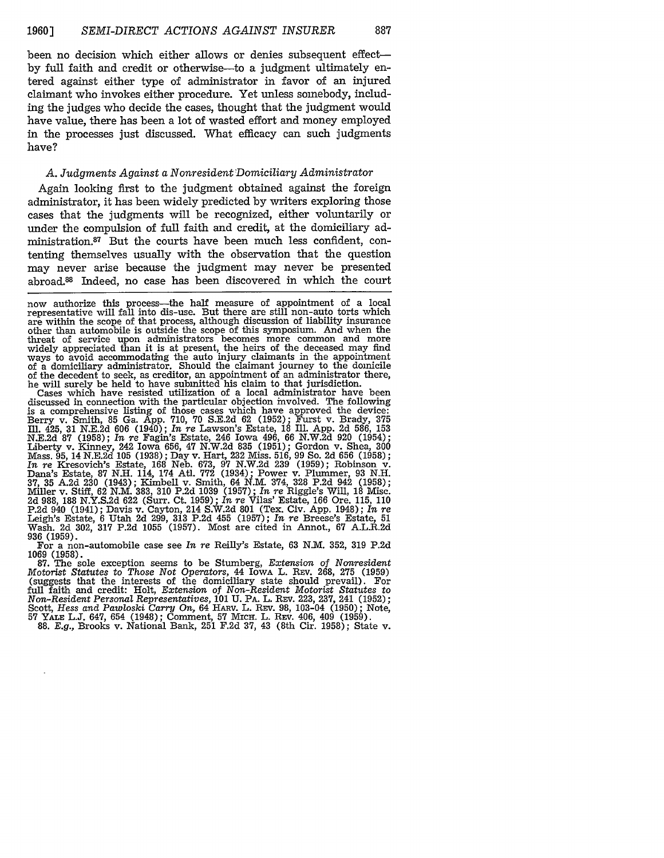been no decision which either allows or denies subsequent effect**by** full faith and credit or otherwise-to a judgment ultimately entered against either type of administrator in favor of an injured claimant who invokes either procedure. Yet unless somebody, including the judges who decide the cases, thought that the judgment would have value, there has been a lot of wasted effort and money employed in the processes just discussed. What efficacy can such judgments have?

#### *A. Judgments Against a Nonresident 'Domiciliary Administrator*

Again looking first to the judgment obtained against the foreign administrator, it has been widely predicted by writers exploring those cases that the judgments will be recognized, either voluntarily or under the compulsion of full faith and credit, at the domiciliary administration.87 But the courts have been much less confident, contenting themselves usually with the observation that the question may never arise because the judgment may never be presented abroad.8 Indeed, no case has been discovered in which the court

now authorize this process—the half measure of appointment of a local representative will fall into dis-use. But there are still non-auto torts which representative will fall into dis-use. But there are still non-auto torts which<br>are within the scope of that process, although discussion of liability insurance<br>other than automobile is outside the scope of this symposium. threat of service upon administrators becomes more common and more widely appreciated than it is at present, the heirs of the deceased may find ways to avoid accommodating the auto injury claimants in the appointment of a domiciliary administrator. Should the claimant journey to the domicile of the decedent to seek, as creditor, an appointment of an administrator there, he will surely be held to have submitted his claim to that jurisdiction.

Cases which have resisted utilization of a local administrator have been discussed in connection with the particular objection involved. The following is a comprehensive listing of those cases which have approved the device: Berry v. Smith, 85 Ga. App. 710, 70 S.E.2d 62 (1952); Furst v. Brady, 375 Ill. 425, 31 N.E.2d 606 (1940); *In* re Lawson's Estate, 18 Ill. App. 2d 586, 153 N.E.2d **87** (1958); *In re* Fagin's Estate, 246 Iowa 496, 66 N.W.2d 920 (1954); Liberty v. Kinney, 242 Iowa 656, 47 N.W.2d 835 (1951); Gordon v. Shea, 300 Mass. 95, 14 N.E.2d 105 (1938); Day v. Hart, 232 Miss. 516, 99 So. 2d 656 (1958); In re Kresovich's Estate, 168 Neb. 673, 97 N.W.2d 239 (1959); Rob 2d 988, 188 N.Y.S.2d 622 (Surr. Ct. 1959); *In re* Vilas' Estate, 166 Ore. 115, 110 P.2d 940 (1941); Davis v. Cayton, 214 S.W.2d 801 (Tex. Civ. App. 1948); *In re* Leigh's Estate, 6 Utah 2d 299, 313 P.2d 455 (1957); *In re* Breese's Estate, 51 Wash. 2d 302, 317 P.2d 1055 (1957). Most are cited in Annot., 67 A.L.R.2d 936 (1959). For a non-automobile case see *In re* Reilly's Estate, 63 N.M. 352, 319 P.2d

1069 (1958). 87. The sole exception seems to be Stumberg, *Extension of Nonresident Motorist Statutes to Those Not Operators,* 44 IowA L. REV. 268, 275 (1959) (suggests that the interests of the domiciliary state should prevail). For full faith and credit: Holt, *Extension of Non-Resident Motorist Statutes to Non-Resident Personal Representatives,* 101 U. PA. L. REv. 223, 237, 241 (1952); Scott, *Hess and Pawloski* Carry *On,* 64 HARv. L. REv. 98, 103-04 (1950); Note, 57 YALE L.J. 647, 654 (1948); Comment, 57 Micx. L. Rzv. 406, 409 (1959). 88. *E.g.,* Brooks v. National Bank, 251 F.2d 37, 43 (8th Cir. 1958); State v.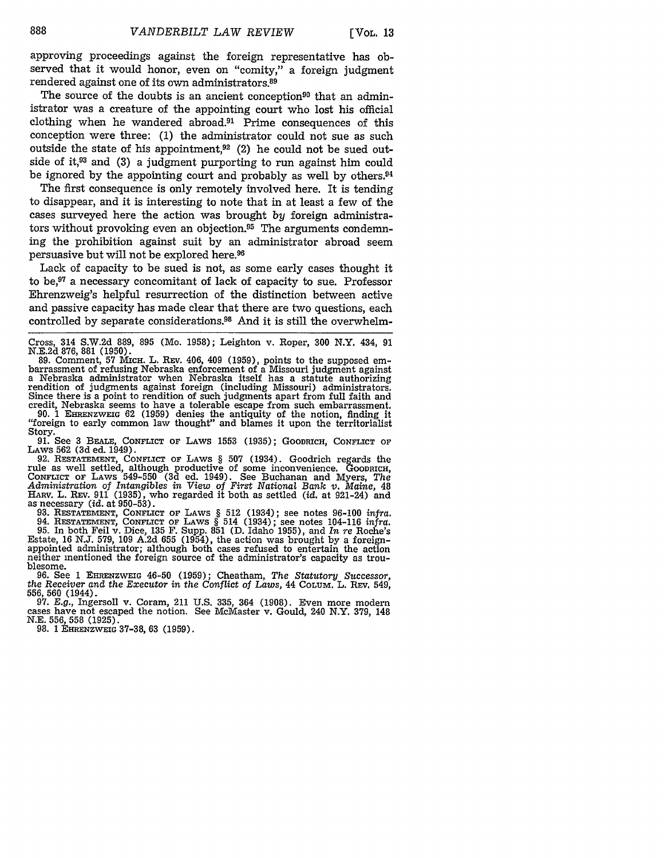approving proceedings against the foreign representative has observed that it would honor, even on "comity," a foreign judgment rendered against one of its own administrators. <sup>89</sup>

The source of the doubts is an ancient conception<sup>90</sup> that an administrator was a creature of the appointing court who lost his official clothing when he wandered abroad. $91$  Prime consequences of this conception were three: (1) the administrator could not sue as such outside the state of his appointment,92 (2) he could not be sued outside of it, $93$  and (3) a judgment purporting to run against him could be ignored by the appointing court and probably as well by others.<sup>94</sup>

The first consequence is only remotely involved here. It is tending to disappear, and it is interesting to note that in at least a few of the cases surveyed here the action was brought *by* foreign administrators without provoking even an objection.95 The arguments condemning the prohibition against suit by an administrator abroad seem persuasive but will not be explored here.96

Lack of capacity to be sued is not, as some early cases thought it to be,97 a necessary concomitant of lack of capacity to sue. Professor Ehrenzweig's helpful resurrection of the distinction between active and passive capacity has made clear that there are two questions, each controlled by separate considerations.98 And it is still the overwhelm-

Story.<br>
91. See 3 BEALE, CONFLICT OF LAWS 1553 (1935); GOODRICH, CONFLICT OF LAWS 562 (3d ed. 1949).

LAWS 562 **(3d** ed. 1949). 92. RESTATEMENT, **CONFLICT** or LAWS § **507** (1934). Goodrich regards the rule as well settled, although productive of some inconvenience. GOODRICH, **CONFLICT OF** LAWS 549-550 **(3d** ed. 1949). See Buchanan and Myers, *The Administration of Intangibles in View of First National Bank v. Maine,* 48

HARV. L. REV. 911 (1935), who regarded it both as settled (id. at 921-24) and<br>as necessary (id. at 950-53).<br>93. RESTATEMENT, CONFLICT OF LAWS § 512 (1934); see notes 96-100 infra.<br>94. RESTATEMENT, CONFLICT OF LAWS § 514 (1 Estate, 16 N.J. 579, 109 A.2d 655 (1954), the action was brought by a foreign- appointed administrator; although both cases refused to entertain the action appointed administrator; although both cases refused to entertain the action neither mentioned the foreign source of the administrator's capacity as troublesome.

**96.** See **1** EHRENZWEIG 46-50 **(1959);** Cheatham, *The Statutory Successor, the Receiver and the Executor in the Conflict of Laws,* 44 COLUM. L. Rrv. 549,

556, 560 (1971). 97. E.g., Ingersoll v. Coram, 211 U.S. 335, 364 (1908). Even more modern cases have not escaped the notion. See McMaster v. Gould, 240 N.Y. 379, 148 N.E. 556, 558 (1925).

N.E. 556, 558 (1925). 98. 1 **EHmENZWEIG** 37-38, 63 (1959).

Cross, 314 S.W.2d 889, 895 (Mo. 1958); Leighton v. Roper, 300 N.Y. 434, 91

N.E.2d 876, 881 (1950).<br>89. Comment, 57 Mich. L. Rev. 406, 409 (1959), points to the supposed em-<br>barrassment of refusing Nebraska enforcement of a Missouri judgment against 89. Comment, 57 MICH. L. REV. 406, 409 (1959), points to the supposed embarrassment of refusing Nebraska enforcement of a Missouri judgment against a Nebraska administrator when Nebraska itself has a statute authorizing re Since there is a point to rendition of such judgments apart from full faith and credit, Nebraska seems to have a tolerable escape from such embarrassment. 90. 1 EHRENZWEIG 62 (1959) denies the antiquity of the notion, finding it "foreign to early common law thought" and blames it upon the territorialist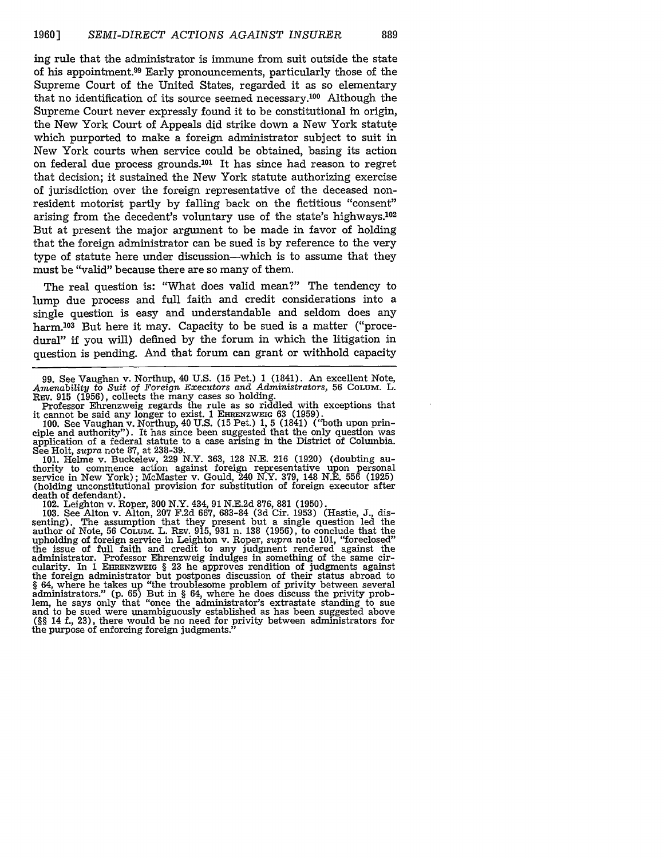ing rule that the administrator is immune from suit outside the state of his appointment.<sup>99</sup> Early pronouncements, particularly those of the Supreme Court of the United States, regarded it as so elementary that no identification of its source seemed necessary.100 Although the Supreme Court never expressly found it to be constitutional in origin, the New York Court of Appeals did strike down a New York statute which purported to make a foreign administrator subject to suit in New York courts when service could be obtained, basing its action on federal due process grounds.<sup>101</sup> It has since had reason to regret that decision; it sustained the New York statute authorizing exercise of jurisdiction over the foreign representative of the deceased nonresident motorist partly by falling back on the fictitious "consent" arising from the decedent's voluntary use of the state's highways.<sup>102</sup> But at present the major argument to be made in favor of holding that the foreign administrator can be sued is by reference to the very type of statute here under discussion-which is to assume that they must be "valid" because there are so many of them.

The real question is: "What does valid mean?" The tendency to lump due process and full faith and credit considerations into a single question is easy and understandable and seldom does any harm.<sup>103</sup> But here it may. Capacity to be sued is a matter ("procedural" if you will) defined by the forum in which the litigation in question is pending. And that forum can grant or withhold capacity

99. See Vaughan v. Northup, 40 U.S. (15 Pet.) 1 (1841). An excellent Note, *Amenability* to *Suit* of *Foreign Executors and Administrators,* 56 COLUM. L. REv. **915** (1956), collects the many cases so holding.

Professor Ehrenzweig regards the rule as so riddled with exceptions that

it cannot be said any longer to exist. 1 **EHnENZWEIG** 63 (1959). 100. See Vaughan v. Northup, 40 U.S. (15 Pet.) 1, 5 (1841) ("both upon principle and authority"). It has since been suggested that the only question was application of a federal statute to a case arising in the District of Columbia. application of a federal statute to a case arising in the District of Columbia.<br>See Holt, supra note 87, at 238-39.

101. Helme v. Buckelew, 229 N.Y. 363, 128 N.E. 216 (1920) (doubting au- thority to commence action against foreign representative upon personal service in New York); McMaster v. Gould, 240 N.Y. 379, 148 N.E. 556 (1925) (holding unconstitutional provision for substitution of foreign executor after death of defendant).

102. Leighton v. Roper, 300 N.Y. 434, 91 N.E.2d 876, 881 (1950).

103. See Alton v. Alton, **207** F.2d 667, 683-84 (3d Cir. 1953) (Hastie, J., dissenting). The assumption that they present but a single question led the author of Note, 56 COLUM. L. REV. 915, 931 n. 138 (1956), to conclude that the upholding of foreign service in Leighton v. Roper, *supra* note 101, "foreclosed" the issue of full faith and credit to any judgment rendered against the administrator. Professor Ehrenzweig indulges in something of the same circularity. In 1 EHRENZWEIG § **23** he approves rendition of judgments against the foreign administrator but postpones discussion of their status abroad to § 64, where he takes up "the troublesome problem of privity between several administrators." (p. 65) But in § 64, where he does discuss the privity problem, he says only that "once the administrator's extrastate standing to sue and to be sued were unambiguously established as has been suggested ab *(§§* 14 f., 23), there would be no need for privity between administrators for the purpose of enforcing foreign judgments.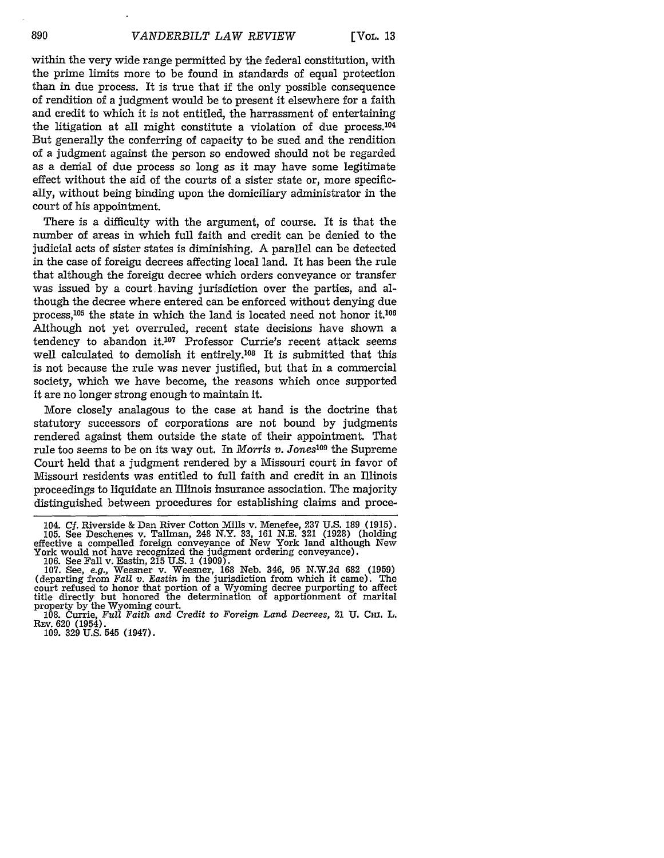within the very wide range permitted by the federal constitution, with the prime limits more to be found in standards of equal protection than in due process. It is true that **if** the only possible consequence of rendition of a judgment would be to present it elsewhere for a faith and credit to which it is not entitled, the harrassment of entertaining the litigation at all might constitute a violation of due process. $104$ But generally the conferring of capacity to be sued and the rendition of a judgment against the person so endowed should not be regarded as a denial of due process so long as it may have some legitimate effect without the aid of the courts of a sister state or, more specifically, without being binding upon the domiciliary administrator in the court of his appointment.

There is a difficulty with the argument, of course. It is that the number of areas in which full faith and credit can be denied to the judicial acts of sister states is diminishing. A parallel can be detected in the case of foreign decrees affecting local land. It has been the rule that although the foreign decree which orders conveyance or transfer was issued by a court having jurisdiction over the parties, and although the decree where entered can be enforced without denying due process,<sup>105</sup> the state in which the land is located need not honor it.<sup>106</sup> Although not yet overruled, recent state decisions have shown a tendency to abandon it.<sup>107</sup> Professor Currie's recent attack seems well calculated to demolish it entirely.<sup>108</sup> It is submitted that this is not because the rule was never justified, but that in a commercial society, which we have become, the reasons which once supported it are no longer strong enough to maintain it.

More closely analagous to the case at hand is the doctrine that statutory successors of corporations are not bound by judgments rendered against them outside the state of their appointment. That rule too seems to be on its way out. In *Morris v. Jones*<sup>109</sup> the Supreme Court held that a judgment rendered by a Missouri court in favor of Missouri residents was entitled to full faith and credit in an Illinois proceedings to liquidate an Illinois insurance association. The majority distinguished between procedures for establishing claims and proce-

**REV.** 620 (1954). 109. 329 U.S. 545 (1947).

890

<sup>104.</sup> Cf. Riverside & Dan River Cotton Mills v. Menefee, 237 U.S. 189 (1915).<br>105. See Deschenes v. Tallman, 248 N.Y. 33, 161 N.E. 321 (1928) (holding<br>effective a compelled foreign conveyance of New York land although New<br>

<sup>107.</sup> See, e.g., Weesner v. Weesner, 168 Neb. 346, 95 N.W.2d 682 (1959)<br>(departing from Fall v. Eastin in the jurisdiction from which it came). The court refused to honor that portion of a Wyoming decree purporting to affect title directly but honored the determination of apportionment of marital property by the Wyoming court.

<sup>108.</sup> Currie, *Full Faith and Credit* to *Foreign Land Decrees,* 21 U. **CHI.** L.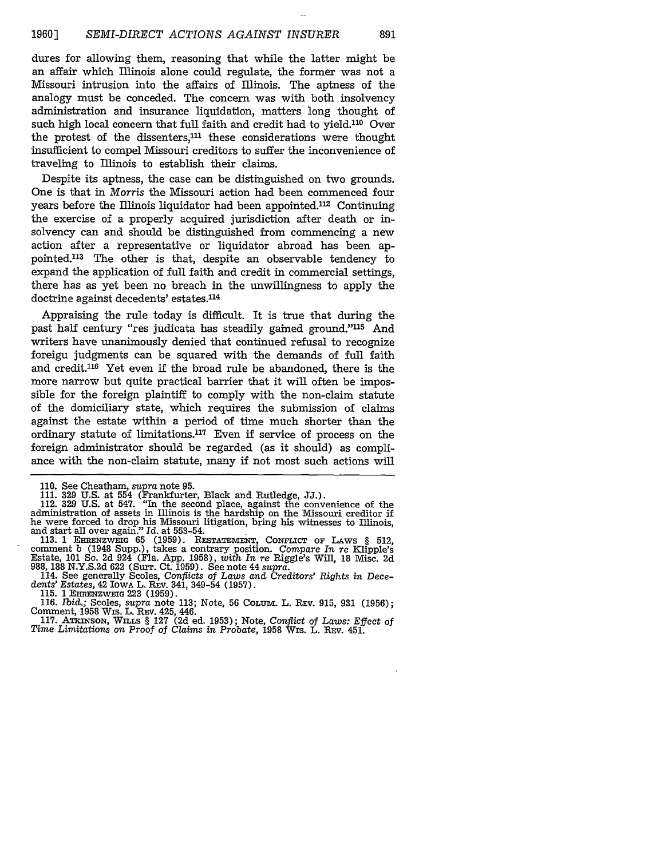dures for allowing them, reasoning that while the latter might be an affair which Illinois alone could regulate, the former was not a Missouri intrusion into the affairs of Illinois. The aptness of the analogy must be conceded. The concern was with both insolvency administration and insurance liquidation, matters long thought of such high local concern that full faith and credit had to yield.<sup>110</sup> Over the protest of the dissenters,<sup>111</sup> these considerations were thought insufficient to compel Missouri creditors to suffer the inconvenience of traveling to Illinois to establish their claims.

Despite its aptness, the case can be distinguished on two grounds. One is that in *Morris* the Missouri action had been commenced four years before the Illinois liquidator had been appointed.<sup>112</sup> Continuing the exercise of a properly acquired jurisdiction after death or insolvency can and should be distinguished from commencing a new action after a representative or liquidator abroad has been appointed.<sup>113</sup> The other is that, despite an observable tendency to expand the application of full faith and credit in commercial settings, there has as yet been no breach in the unwillingness to apply the doctrine against decedents' estates.<sup>114</sup>

Appraising the rule today is difficult. It is true that during the past half century "res judicata has steadily gained ground."<sup>115</sup> And writers have unanimously denied that continued refusal to recognize foreign judgments can be squared with the demands of full faith and credit.<sup>116</sup> Yet even if the broad rule be abandoned, there is the more narrow but quite practical barrier that it will often be impossible for the foreign plaintiff to comply with the non-claim statute of the domiciliary state, which requires the submission of claims against the estate within a period of time much shorter than the ordinary statute of limitations.<sup>117</sup> Even if service of process on the foreign administrator should be regarded (as it should) as compliance with the non-claim statute, many if not most such actions will

116. *Ibid.;* Scoles, *supra* note 113; Note, 56 **COLUm.** L. **REV.** 915, 931 (1956); Comment, 1958 Wis. L. REv. 425, 446.

117. ATxnmsox, WnLs § **127** (2d ed. 1953); Note, Conflict of *Laws: Effect of Time Limitations on Proof* of Claims in *Probate,* 1958 Wis. L. **REV.** 451.

<sup>110.</sup> See Cheatham, *supra* note 95.

<sup>111. 329</sup> U.S. at 554 (Frankfurter, Black and Rutledge, JJ.). 112. **329** U.S. at 547. "In the second place, against the convenience of the administration of assets in Illinois is the hardship on the Missouri creditor if he were forced to drop his Missouri litigation, bring his witnesses to Illinois, and start all over again." *Id.* at 553-54.

**<sup>113. 1</sup>** EHRENZWEIG 65 **(1959). RESTATEMENT, CONFLICT OF** LAws § 512, comment b (1948 Supp.), takes a contrary position. *Compare In re* Klipple's Estate, **101** So. **2d** 924 (Fla. App. **1958),** *with In* re Riggle's Will, **18** Misc. **2d**

<sup>988, 188</sup> N.Y.S.2d 622 (Surr. Ct. 1959). See note 44 supra.<br>114. See generally Scoles, Conflicts of Laws and Creditors' Rights in Decedents' Estates, 42 Iowa L. Rev. 341, 349-54 (1957).

<sup>115.</sup> **1** EHRENzwEir 223 **(1959).**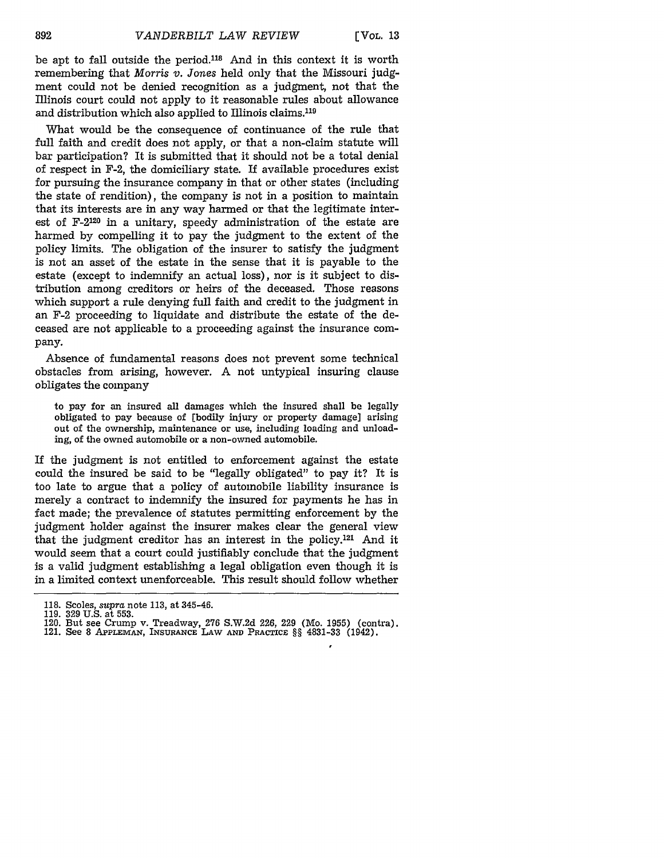be apt to fall outside the period.<sup>118</sup> And in this context it is worth remembering that *Morris v. Jones* held only that the Missouri judgment could not be denied recognition as a judgment, not that the Illinois court could not apply to it reasonable rules about allowance and distribution which also applied to Illinois claims.<sup>119</sup>

What would be the consequence of continuance of the rule that full faith and credit does not apply, or that a non-claim statute will bar participation? It is submitted that it should not be a total denial of respect in F-2, the domiciliary state. If available procedures exist for pursuing the insurance company in that or other states (including the state of rendition), the company is not in a position to maintain that its interests are in any way harmed or that the legitimate interest of F-2120 in a unitary, speedy administration of the estate are harmed by compelling it to pay the judgment to the extent of the policy limits. The obligation of the insurer to satisfy the judgment is not an asset of the estate in the sense that it is payable to the estate (except to indemnify an actual loss), nor is it subject to distribution among creditors or heirs of the deceased. Those reasons which support a rule denying full faith and credit to the judgment in an F-2 proceeding to liquidate and distribute the estate of the deceased are not applicable to a proceeding against the insurance company.

Absence of fundamental reasons does not prevent some technical obstacles from arising, however. A not untypical insuring clause obligates the company

to pay for an insured all damages which the insured shall be legally obligated to pay because of [bodily injury or property damage] arising out of the ownership, maintenance or use, including loading and unloading, of the owned automobile or a non-owned automobile.

If the judgment is not entitled to enforcement against the estate could the insured be said to be "legally obligated" to pay it? It is too late to argue that a policy of automobile liability insurance is merely a contract to indemnify the insured for payments he has in fact made; the prevalence of statutes permitting enforcement by the judgment holder against the insurer makes clear the general view that the judgment creditor has an interest in the policy.121 And it would seem that a court could justifiably conclude that the judgment is a valid judgment establishing a legal obligation even though it is in a limited context unenforceable. This result should follow whether

- 120. But see Crump v. Treadway, **276** S.W.2d 226, 229 (Mo. **1955)** (contra). 121. See 8 **APPLEmAN, INSURANCE** LAW **AND** PRACTICE §§ 4831-33 (1942).
- 

<sup>118.</sup> Scoles, *supra* **note 113,** at 345-46.

<sup>119.</sup> **329** U.S. at 553.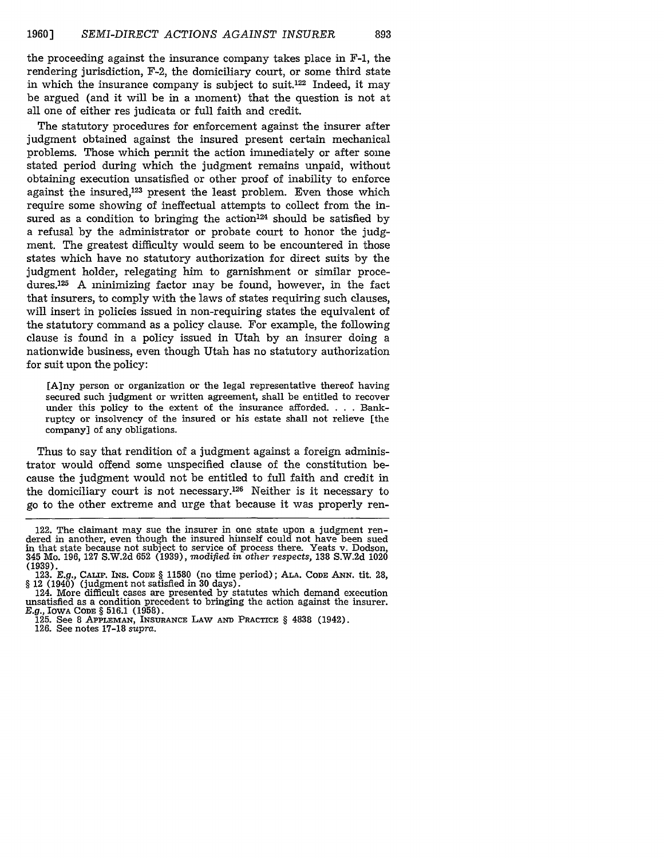the proceeding against the insurance company takes place in F-i, the rendering jurisdiction, F-2, the domiciliary court, or some third state in which the insurance company is subject to suit.122 Indeed, it may be argued (and it will be in a moment) that the question is not at all one of either res judicata or full faith and credit.

The statutory procedures for enforcement against the insurer after judgment obtained against the insured present certain mechanical problems. Those which permit the action immediately or after some stated period during which the judgment remains unpaid, without obtaining execution unsatisfied or other proof of inability to enforce against the insured,123 present the least problem. Even those which require some showing of ineffectual attempts to collect from the insured as a condition to bringing the action<sup>124</sup> should be satisfied by a refusal by the administrator or probate court to honor the judgment. The greatest difficulty would seem to be encountered in those states which have no statutory authorization for direct suits by the judgment holder, relegating him to garnishment or similar procedures.125 A minimizing factor may be found, however, in the fact that insurers, to comply with the laws of states requiring such clauses, will insert in policies issued in non-requiring states the equivalent of the statutory command as a policy clause. For example, the following clause is found in a policy issued in Utah by an insurer doing a nationwide business, even though Utah has no statutory authorization for suit upon the policy:

[A]ny person or organization or the legal representative thereof having secured such judgment or written agreement, shall be entitled to recover under this policy to the extent of the insurance afforded. . **.** . Bankruptcy or insolvency of the insured or his estate shall not relieve [the company] of any obligations.

Thus to say that rendition of a judgment against a foreign administrator would offend some unspecified clause of the constitution because the judgment would not be entitled to full faith and credit in the domiciliary court is not necessary.126 Neither is it necessary to go to the other extreme and urge that because it was properly ren-

126. See notes 17-18 supra.

<sup>122.</sup> The claimant may sue the insurer in one state upon a judgment ren- dered in another, even though the insured himself could not have been sued in that state because not subject to service of process there. Yeats v. Dodson, 345 Mo. 196, 127 S.W.2d 652 (1939), modified *in other* respects, 138 S.W.2d 1020 (1939).

<sup>123.</sup> *E.g.,* CALf. *INS.* CODE § 11580 (no time period); ALA. **CODE ANN.** tit. 28, *§* 12 (1940) (judgment not satisfied in 30 days).

<sup>124.</sup> More difficult cases are presented by statutes which demand execution unsatisfied as a condition precedent to bringing the action against the insurer. *E.g.,* IOWA **CODE** § 516.1 (1958).

**<sup>125.</sup>** See **8 APPLEMAN, INSURANCE LAW AND** PRACTICE § 4838 (1942).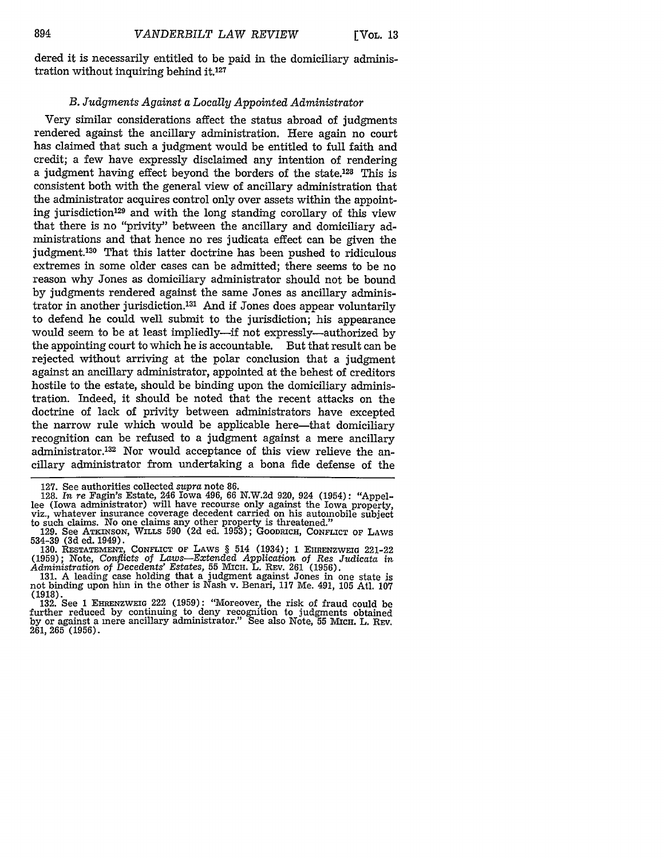dered it is necessarily entitled to be paid in the domiciliary administration without inquiring behind it.127

#### *B. Judgments Against a Locally Appointed Administrator*

Very similar considerations affect the status abroad of judgments rendered against the ancillary administration. Here again no court has claimed that such a judgment would be entitled to full faith and credit; a few have expressly disclaimed any intention of rendering a judgment having effect beyond the borders of the state.<sup>128</sup> This is consistent both with the general view of ancillary administration that the administrator acquires control only over assets within the appointing jurisdiction<sup>129</sup> and with the long standing corollary of this view that there is no "privity" between the ancillary and domiciliary administrations and that hence no res judicata effect can be given the judgment.<sup>130</sup> That this latter doctrine has been pushed to ridiculous extremes in some older cases can be admitted; there seems to be no reason why Jones as domiciliary administrator should not be bound by judgments rendered against the same Jones as ancillary administrator in another jurisdiction.131 And if Jones does appear voluntarily to defend he could well submit to the jurisdiction; his appearance would seem to be at least impliedly-if not expressly-authorized by the appointing court to which he is accountable. But that result can be rejected without arriving at the polar conclusion that a judgment against an ancillary administrator, appointed at the behest of creditors hostile to the estate, should be binding upon the domiciliary administration. Indeed, it should be noted that the recent attacks on the doctrine of lack of privity between administrators have excepted the narrow rule which would be applicable here—that domiciliary recognition can be refused to a judgment against a mere ancillary administrator.<sup>132</sup> Nor would acceptance of this view relieve the ancillary administrator from undertaking a bona fide defense of the

127. See authorities collected *supra* note 86. ed (fowa administrator) will have recourse only against the fowa property,<br>viz., whatever insurance coverage decedent carried on his automobile subject to such claims. No one claims any other property is threatened."

not binding upon him in the other is Nash v. Benari, **117** Me. 491, 105 Atl. 107 (1918).

132. See 1 EHRENZWEIG 222 (1959): "Moreover, the risk of fraud could be further reduced by continuing to deny recognition to judgments obtained by or against a mere ancillary administrator." See also Note, 55 Mich. L. REV.  $261,265(1956)$ .

<sup>129.</sup> See ATKINSON, WILLS 590 (2d ed. 1953); GOODRICH, CONFLICT OF LAWS 534-39 (3d ed. 1949).

**<sup>130.</sup> RESTATEMENT, CONFLICT OF** LAWS § 514 (1934); **1** EHRENZWEIa 221-22 **(1959);** Note, *Conflicts* of *Laws-Extended Application of Res Judicata in Administration* of *Decedents' Estates,* 55 MIcH. L. REv. 261 (1956). 131. A leading case holding that a judgment against Jones in one state is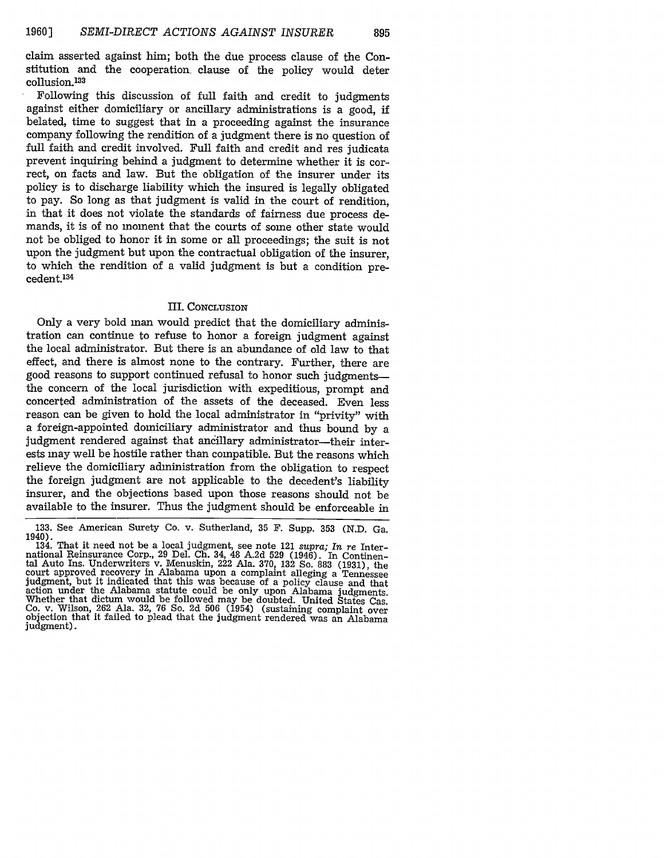claim asserted against him; both the due process clause of the Constitution and the cooperation, clause of the policy would deter collusion.<sup>133</sup>

Following this discussion of full faith and credit to judgments against either domiciliary or ancillary administrations is a good, if belated, time to suggest that in a proceeding against the insurance company following the rendition of a judgment there is no question of full faith and credit involved. Full faith and credit and res judicata prevent inquiring behind a judgment to determine whether it is correct, on facts and law. But the obligation of the insurer under its policy is to discharge liability which the insured is legally obligated to pay. So long as that judgment is valid in the court of rendition, in that it does not violate the standards of fairness due process demands, it is of no moment that the courts of some other state would not be obliged to honor it in some or all proceedings; the suit is not upon the judgment but upon the contractual obligation of the insurer, to which the rendition of a valid judgment is but a condition precedent.<sup>134</sup>

### III. CONCLUSION

Only a very bold man would predict that the domiciliary administration can continue to refuse to honor a foreign judgment against the local administrator. But there is an abundance of old law to that effect, and there is almost none to the contrary. Further, there are good reasons to support continued refusal to honor such judgmentsthe concern of the local jurisdiction with expeditious, prompt and concerted administration of the assets of the deceased. Even less reason can be given to hold the local administrator in "privity" with a foreign-appointed domiciliary administrator and thus bound by a judgment rendered against that ancillary administrator-their interests may well be hostile rather than compatible. But the reasons which relieve the domiciliary administration from the obligation to respect the foreign judgment are not applicable to the decedent's liability insurer, and the objections based upon those reasons should not be available to the insurer. Thus the judgment should be enforceable in

<sup>133.</sup> See American Surety Co. v. Sutherland, 35 F. Supp. 353 (N.D. Ga. 1940). 134. That it need not be a local judgment, see note 121 *supra; In re* Inter-

national Reinsurance Corp., 29 Del. Ch. 34, 48 A.2d 529 (1946). In Continental Auto Ins. Underwriters v. Menuskin, 222 Ala. 370, 132 So. 883 (1931), the court approved recovery in Alabama upon a complaint alleging a Tennessee judgment, but it indicated that this was because of a policy clause and that action under the Alabama statute could be only upon Alabama judgments. Whether that dictum would be followed may be doubted. United States Cas. Co. v. Wilson, 262 Ala. 32, 76 So. 2d 506 (1954) (sustaining complaint over objection that it failed to plead that the judgment rendered was an Alabama judgment).